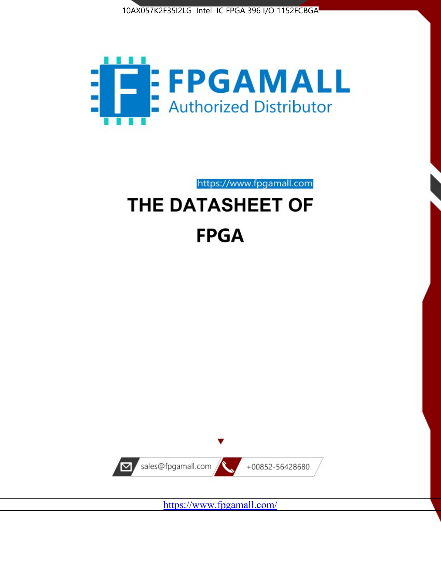



https://www.fpgamall.com

# THE DATASHEET OF **FPGA**



<https://www.fpgamall.com/>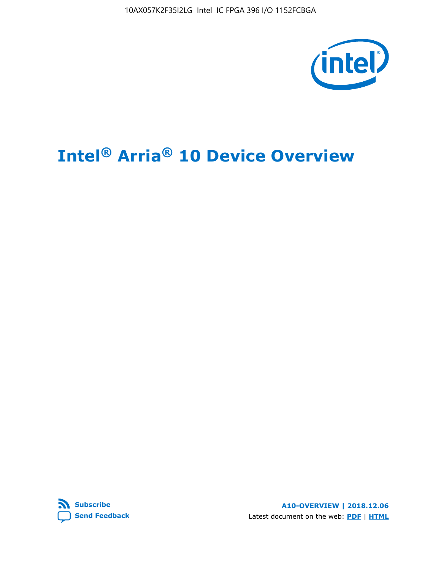10AX057K2F35I2LG Intel IC FPGA 396 I/O 1152FCBGA



# **Intel® Arria® 10 Device Overview**



**A10-OVERVIEW | 2018.12.06** Latest document on the web: **[PDF](https://www.intel.com/content/dam/www/programmable/us/en/pdfs/literature/hb/arria-10/a10_overview.pdf)** | **[HTML](https://www.intel.com/content/www/us/en/programmable/documentation/sam1403480274650.html)**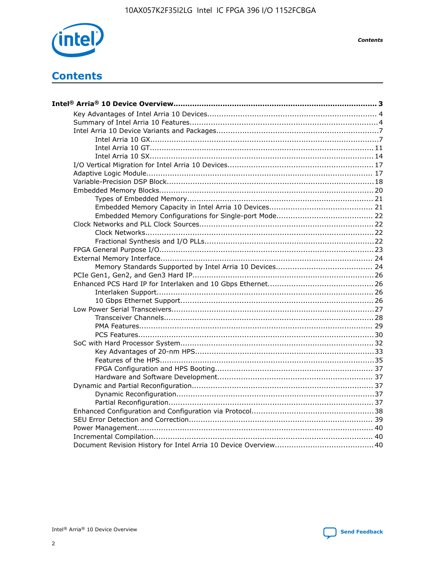

**Contents** 

# **Contents**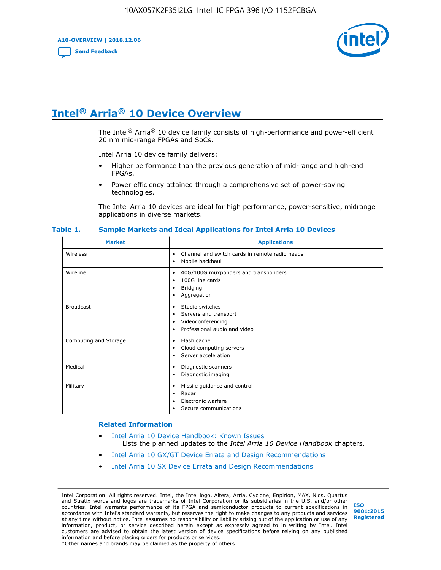**A10-OVERVIEW | 2018.12.06**

**[Send Feedback](mailto:FPGAtechdocfeedback@intel.com?subject=Feedback%20on%20Intel%20Arria%2010%20Device%20Overview%20(A10-OVERVIEW%202018.12.06)&body=We%20appreciate%20your%20feedback.%20In%20your%20comments,%20also%20specify%20the%20page%20number%20or%20paragraph.%20Thank%20you.)**



# **Intel® Arria® 10 Device Overview**

The Intel<sup>®</sup> Arria<sup>®</sup> 10 device family consists of high-performance and power-efficient 20 nm mid-range FPGAs and SoCs.

Intel Arria 10 device family delivers:

- Higher performance than the previous generation of mid-range and high-end FPGAs.
- Power efficiency attained through a comprehensive set of power-saving technologies.

The Intel Arria 10 devices are ideal for high performance, power-sensitive, midrange applications in diverse markets.

| <b>Market</b>         | <b>Applications</b>                                                                                               |
|-----------------------|-------------------------------------------------------------------------------------------------------------------|
| Wireless              | Channel and switch cards in remote radio heads<br>٠<br>Mobile backhaul<br>٠                                       |
| Wireline              | 40G/100G muxponders and transponders<br>٠<br>100G line cards<br>٠<br><b>Bridging</b><br>٠<br>Aggregation<br>٠     |
| <b>Broadcast</b>      | Studio switches<br>٠<br>Servers and transport<br>٠<br>Videoconferencing<br>٠<br>Professional audio and video<br>٠ |
| Computing and Storage | Flash cache<br>٠<br>Cloud computing servers<br>٠<br>Server acceleration<br>٠                                      |
| Medical               | Diagnostic scanners<br>٠<br>Diagnostic imaging<br>٠                                                               |
| Military              | Missile guidance and control<br>٠<br>Radar<br>٠<br>Electronic warfare<br>٠<br>Secure communications<br>٠          |

#### **Table 1. Sample Markets and Ideal Applications for Intel Arria 10 Devices**

#### **Related Information**

- [Intel Arria 10 Device Handbook: Known Issues](http://www.altera.com/support/kdb/solutions/rd07302013_646.html) Lists the planned updates to the *Intel Arria 10 Device Handbook* chapters.
- [Intel Arria 10 GX/GT Device Errata and Design Recommendations](https://www.intel.com/content/www/us/en/programmable/documentation/agz1493851706374.html#yqz1494433888646)
- [Intel Arria 10 SX Device Errata and Design Recommendations](https://www.intel.com/content/www/us/en/programmable/documentation/cru1462832385668.html#cru1462832558642)

Intel Corporation. All rights reserved. Intel, the Intel logo, Altera, Arria, Cyclone, Enpirion, MAX, Nios, Quartus and Stratix words and logos are trademarks of Intel Corporation or its subsidiaries in the U.S. and/or other countries. Intel warrants performance of its FPGA and semiconductor products to current specifications in accordance with Intel's standard warranty, but reserves the right to make changes to any products and services at any time without notice. Intel assumes no responsibility or liability arising out of the application or use of any information, product, or service described herein except as expressly agreed to in writing by Intel. Intel customers are advised to obtain the latest version of device specifications before relying on any published information and before placing orders for products or services. \*Other names and brands may be claimed as the property of others.

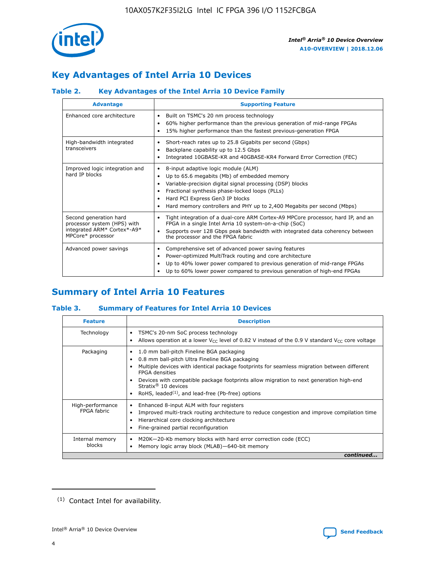

# **Key Advantages of Intel Arria 10 Devices**

# **Table 2. Key Advantages of the Intel Arria 10 Device Family**

| <b>Advantage</b>                                                                                          | <b>Supporting Feature</b>                                                                                                                                                                                                                                                                                                |
|-----------------------------------------------------------------------------------------------------------|--------------------------------------------------------------------------------------------------------------------------------------------------------------------------------------------------------------------------------------------------------------------------------------------------------------------------|
| Enhanced core architecture                                                                                | Built on TSMC's 20 nm process technology<br>٠<br>60% higher performance than the previous generation of mid-range FPGAs<br>٠<br>15% higher performance than the fastest previous-generation FPGA<br>٠                                                                                                                    |
| High-bandwidth integrated<br>transceivers                                                                 | Short-reach rates up to 25.8 Gigabits per second (Gbps)<br>٠<br>Backplane capability up to 12.5 Gbps<br>٠<br>Integrated 10GBASE-KR and 40GBASE-KR4 Forward Error Correction (FEC)<br>٠                                                                                                                                   |
| Improved logic integration and<br>hard IP blocks                                                          | 8-input adaptive logic module (ALM)<br>٠<br>Up to 65.6 megabits (Mb) of embedded memory<br>٠<br>Variable-precision digital signal processing (DSP) blocks<br>Fractional synthesis phase-locked loops (PLLs)<br>Hard PCI Express Gen3 IP blocks<br>Hard memory controllers and PHY up to 2,400 Megabits per second (Mbps) |
| Second generation hard<br>processor system (HPS) with<br>integrated ARM* Cortex*-A9*<br>MPCore* processor | Tight integration of a dual-core ARM Cortex-A9 MPCore processor, hard IP, and an<br>٠<br>FPGA in a single Intel Arria 10 system-on-a-chip (SoC)<br>Supports over 128 Gbps peak bandwidth with integrated data coherency between<br>$\bullet$<br>the processor and the FPGA fabric                                        |
| Advanced power savings                                                                                    | Comprehensive set of advanced power saving features<br>٠<br>Power-optimized MultiTrack routing and core architecture<br>٠<br>Up to 40% lower power compared to previous generation of mid-range FPGAs<br>Up to 60% lower power compared to previous generation of high-end FPGAs                                         |

# **Summary of Intel Arria 10 Features**

## **Table 3. Summary of Features for Intel Arria 10 Devices**

| <b>Feature</b>                  | <b>Description</b>                                                                                                                                                                                                                                                                                                                                                                                           |
|---------------------------------|--------------------------------------------------------------------------------------------------------------------------------------------------------------------------------------------------------------------------------------------------------------------------------------------------------------------------------------------------------------------------------------------------------------|
| Technology                      | TSMC's 20-nm SoC process technology<br>Allows operation at a lower $V_{\text{CC}}$ level of 0.82 V instead of the 0.9 V standard $V_{\text{CC}}$ core voltage                                                                                                                                                                                                                                                |
| Packaging                       | 1.0 mm ball-pitch Fineline BGA packaging<br>٠<br>0.8 mm ball-pitch Ultra Fineline BGA packaging<br>Multiple devices with identical package footprints for seamless migration between different<br><b>FPGA</b> densities<br>Devices with compatible package footprints allow migration to next generation high-end<br>Stratix <sup>®</sup> 10 devices<br>RoHS, leaded $(1)$ , and lead-free (Pb-free) options |
| High-performance<br>FPGA fabric | Enhanced 8-input ALM with four registers<br>Improved multi-track routing architecture to reduce congestion and improve compilation time<br>Hierarchical core clocking architecture<br>Fine-grained partial reconfiguration                                                                                                                                                                                   |
| Internal memory<br>blocks       | M20K-20-Kb memory blocks with hard error correction code (ECC)<br>Memory logic array block (MLAB)-640-bit memory                                                                                                                                                                                                                                                                                             |
|                                 | continued                                                                                                                                                                                                                                                                                                                                                                                                    |



<sup>(1)</sup> Contact Intel for availability.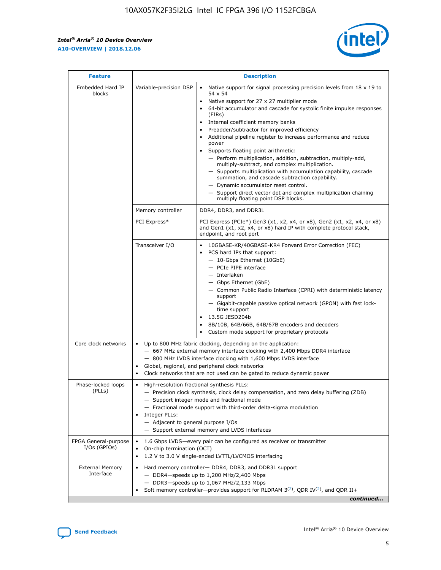$\mathbf{r}$ 



| <b>Feature</b>                         |                                                                                                                                                                                                                                                                                                                                       | <b>Description</b>                                                                                                                                                                                                                                                                                                                                                                                                                                                                                                                                                                                                                                                                                                                                                                                                                                                            |  |  |  |  |  |
|----------------------------------------|---------------------------------------------------------------------------------------------------------------------------------------------------------------------------------------------------------------------------------------------------------------------------------------------------------------------------------------|-------------------------------------------------------------------------------------------------------------------------------------------------------------------------------------------------------------------------------------------------------------------------------------------------------------------------------------------------------------------------------------------------------------------------------------------------------------------------------------------------------------------------------------------------------------------------------------------------------------------------------------------------------------------------------------------------------------------------------------------------------------------------------------------------------------------------------------------------------------------------------|--|--|--|--|--|
| Embedded Hard IP<br>blocks             | Variable-precision DSP                                                                                                                                                                                                                                                                                                                | Native support for signal processing precision levels from $18 \times 19$ to<br>$\bullet$<br>54 x 54<br>Native support for 27 x 27 multiplier mode<br>$\bullet$<br>64-bit accumulator and cascade for systolic finite impulse responses<br>$\bullet$<br>(FIRs)<br>Internal coefficient memory banks<br>$\bullet$<br>Preadder/subtractor for improved efficiency<br>Additional pipeline register to increase performance and reduce<br>power<br>Supports floating point arithmetic:<br>- Perform multiplication, addition, subtraction, multiply-add,<br>multiply-subtract, and complex multiplication.<br>- Supports multiplication with accumulation capability, cascade<br>summation, and cascade subtraction capability.<br>- Dynamic accumulator reset control.<br>- Support direct vector dot and complex multiplication chaining<br>multiply floating point DSP blocks. |  |  |  |  |  |
|                                        | Memory controller                                                                                                                                                                                                                                                                                                                     | DDR4, DDR3, and DDR3L                                                                                                                                                                                                                                                                                                                                                                                                                                                                                                                                                                                                                                                                                                                                                                                                                                                         |  |  |  |  |  |
|                                        | PCI Express*                                                                                                                                                                                                                                                                                                                          | PCI Express (PCIe*) Gen3 (x1, x2, x4, or x8), Gen2 (x1, x2, x4, or x8)<br>and Gen1 (x1, x2, x4, or x8) hard IP with complete protocol stack,<br>endpoint, and root port                                                                                                                                                                                                                                                                                                                                                                                                                                                                                                                                                                                                                                                                                                       |  |  |  |  |  |
|                                        | Transceiver I/O                                                                                                                                                                                                                                                                                                                       | 10GBASE-KR/40GBASE-KR4 Forward Error Correction (FEC)<br>PCS hard IPs that support:<br>٠<br>- 10-Gbps Ethernet (10GbE)<br>- PCIe PIPE interface<br>- Interlaken<br>- Gbps Ethernet (GbE)<br>- Common Public Radio Interface (CPRI) with deterministic latency<br>support<br>- Gigabit-capable passive optical network (GPON) with fast lock-<br>time support<br>13.5G JESD204b<br>$\bullet$<br>8B/10B, 64B/66B, 64B/67B encoders and decoders<br>$\bullet$<br>Custom mode support for proprietary protocols                                                                                                                                                                                                                                                                                                                                                                   |  |  |  |  |  |
| Core clock networks                    | $\bullet$                                                                                                                                                                                                                                                                                                                             | Up to 800 MHz fabric clocking, depending on the application:<br>- 667 MHz external memory interface clocking with 2,400 Mbps DDR4 interface<br>- 800 MHz LVDS interface clocking with 1,600 Mbps LVDS interface<br>Global, regional, and peripheral clock networks<br>Clock networks that are not used can be gated to reduce dynamic power                                                                                                                                                                                                                                                                                                                                                                                                                                                                                                                                   |  |  |  |  |  |
| Phase-locked loops<br>(PLLs)           | High-resolution fractional synthesis PLLs:<br>٠<br>Integer PLLs:<br>- Adjacent to general purpose I/Os                                                                                                                                                                                                                                | - Precision clock synthesis, clock delay compensation, and zero delay buffering (ZDB)<br>- Support integer mode and fractional mode<br>- Fractional mode support with third-order delta-sigma modulation<br>- Support external memory and LVDS interfaces                                                                                                                                                                                                                                                                                                                                                                                                                                                                                                                                                                                                                     |  |  |  |  |  |
| FPGA General-purpose<br>$I/Os$ (GPIOs) | On-chip termination (OCT)<br>٠                                                                                                                                                                                                                                                                                                        | 1.6 Gbps LVDS-every pair can be configured as receiver or transmitter                                                                                                                                                                                                                                                                                                                                                                                                                                                                                                                                                                                                                                                                                                                                                                                                         |  |  |  |  |  |
| <b>External Memory</b><br>Interface    | 1.2 V to 3.0 V single-ended LVTTL/LVCMOS interfacing<br>Hard memory controller- DDR4, DDR3, and DDR3L support<br>$\bullet$<br>$-$ DDR4 $-$ speeds up to 1,200 MHz/2,400 Mbps<br>- DDR3-speeds up to 1,067 MHz/2,133 Mbps<br>Soft memory controller—provides support for RLDRAM $3^{(2)}$ , QDR IV $^{(2)}$ , and QDR II+<br>continued |                                                                                                                                                                                                                                                                                                                                                                                                                                                                                                                                                                                                                                                                                                                                                                                                                                                                               |  |  |  |  |  |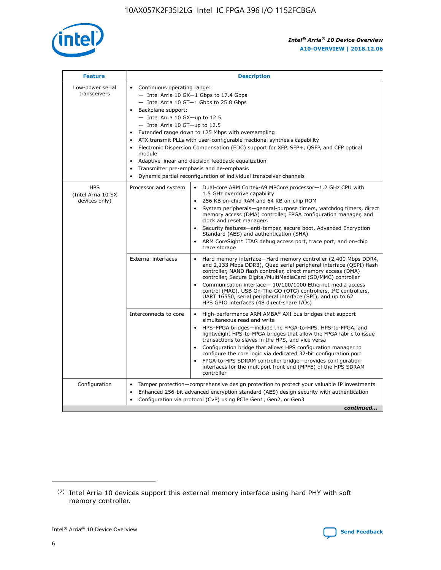

| <b>Feature</b>                                    | <b>Description</b>                                                                                                                                                                                                                                                                                                                                                                                                                                                                                                                                                                                                                                  |
|---------------------------------------------------|-----------------------------------------------------------------------------------------------------------------------------------------------------------------------------------------------------------------------------------------------------------------------------------------------------------------------------------------------------------------------------------------------------------------------------------------------------------------------------------------------------------------------------------------------------------------------------------------------------------------------------------------------------|
| Low-power serial<br>transceivers                  | • Continuous operating range:<br>- Intel Arria 10 GX-1 Gbps to 17.4 Gbps<br>- Intel Arria 10 GT-1 Gbps to 25.8 Gbps<br>Backplane support:<br>- Intel Arria 10 GX-up to 12.5<br>- Intel Arria 10 GT-up to 12.5<br>Extended range down to 125 Mbps with oversampling<br>ATX transmit PLLs with user-configurable fractional synthesis capability<br>Electronic Dispersion Compensation (EDC) support for XFP, SFP+, QSFP, and CFP optical<br>module<br>Adaptive linear and decision feedback equalization<br>$\bullet$<br>Transmitter pre-emphasis and de-emphasis<br>$\bullet$<br>Dynamic partial reconfiguration of individual transceiver channels |
| <b>HPS</b><br>(Intel Arria 10 SX<br>devices only) | Dual-core ARM Cortex-A9 MPCore processor-1.2 GHz CPU with<br>Processor and system<br>$\bullet$<br>1.5 GHz overdrive capability<br>256 KB on-chip RAM and 64 KB on-chip ROM<br>System peripherals—general-purpose timers, watchdog timers, direct<br>memory access (DMA) controller, FPGA configuration manager, and<br>clock and reset managers<br>Security features-anti-tamper, secure boot, Advanced Encryption<br>Standard (AES) and authentication (SHA)<br>ARM CoreSight* JTAG debug access port, trace port, and on-chip<br>trace storage                                                                                                    |
|                                                   | <b>External interfaces</b><br>Hard memory interface-Hard memory controller (2,400 Mbps DDR4,<br>$\bullet$<br>and 2,133 Mbps DDR3), Quad serial peripheral interface (QSPI) flash<br>controller, NAND flash controller, direct memory access (DMA)<br>controller, Secure Digital/MultiMediaCard (SD/MMC) controller<br>Communication interface-10/100/1000 Ethernet media access<br>control (MAC), USB On-The-GO (OTG) controllers, I <sup>2</sup> C controllers,<br>UART 16550, serial peripheral interface (SPI), and up to 62<br>HPS GPIO interfaces (48 direct-share I/Os)                                                                       |
|                                                   | High-performance ARM AMBA* AXI bus bridges that support<br>Interconnects to core<br>$\bullet$<br>simultaneous read and write<br>HPS-FPGA bridges-include the FPGA-to-HPS, HPS-to-FPGA, and<br>$\bullet$<br>lightweight HPS-to-FPGA bridges that allow the FPGA fabric to issue<br>transactions to slaves in the HPS, and vice versa<br>Configuration bridge that allows HPS configuration manager to<br>configure the core logic via dedicated 32-bit configuration port<br>FPGA-to-HPS SDRAM controller bridge-provides configuration<br>interfaces for the multiport front end (MPFE) of the HPS SDRAM<br>controller                              |
| Configuration                                     | Tamper protection—comprehensive design protection to protect your valuable IP investments<br>Enhanced 256-bit advanced encryption standard (AES) design security with authentication<br>٠<br>Configuration via protocol (CvP) using PCIe Gen1, Gen2, or Gen3<br>continued                                                                                                                                                                                                                                                                                                                                                                           |

<sup>(2)</sup> Intel Arria 10 devices support this external memory interface using hard PHY with soft memory controller.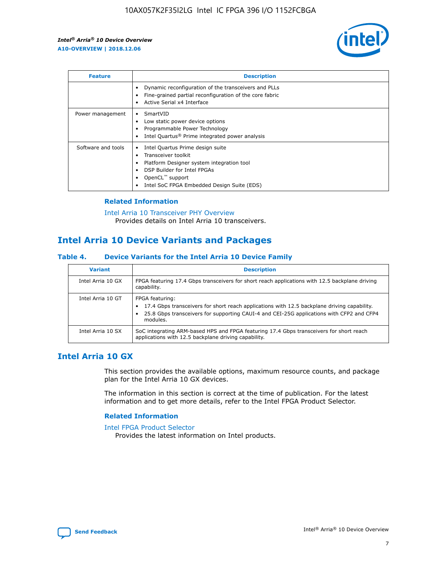

| <b>Feature</b>     | <b>Description</b>                                                                                                                                                                                               |
|--------------------|------------------------------------------------------------------------------------------------------------------------------------------------------------------------------------------------------------------|
|                    | Dynamic reconfiguration of the transceivers and PLLs<br>Fine-grained partial reconfiguration of the core fabric<br>Active Serial x4 Interface<br>$\bullet$                                                       |
| Power management   | SmartVID<br>Low static power device options<br>Programmable Power Technology<br>Intel Quartus <sup>®</sup> Prime integrated power analysis                                                                       |
| Software and tools | Intel Quartus Prime design suite<br>Transceiver toolkit<br>Platform Designer system integration tool<br>DSP Builder for Intel FPGAs<br>OpenCL <sup>™</sup> support<br>Intel SoC FPGA Embedded Design Suite (EDS) |

## **Related Information**

[Intel Arria 10 Transceiver PHY Overview](https://www.intel.com/content/www/us/en/programmable/documentation/nik1398707230472.html#nik1398706768037) Provides details on Intel Arria 10 transceivers.

# **Intel Arria 10 Device Variants and Packages**

#### **Table 4. Device Variants for the Intel Arria 10 Device Family**

| <b>Variant</b>    | <b>Description</b>                                                                                                                                                                                                     |
|-------------------|------------------------------------------------------------------------------------------------------------------------------------------------------------------------------------------------------------------------|
| Intel Arria 10 GX | FPGA featuring 17.4 Gbps transceivers for short reach applications with 12.5 backplane driving<br>capability.                                                                                                          |
| Intel Arria 10 GT | FPGA featuring:<br>17.4 Gbps transceivers for short reach applications with 12.5 backplane driving capability.<br>25.8 Gbps transceivers for supporting CAUI-4 and CEI-25G applications with CFP2 and CFP4<br>modules. |
| Intel Arria 10 SX | SoC integrating ARM-based HPS and FPGA featuring 17.4 Gbps transceivers for short reach<br>applications with 12.5 backplane driving capability.                                                                        |

# **Intel Arria 10 GX**

This section provides the available options, maximum resource counts, and package plan for the Intel Arria 10 GX devices.

The information in this section is correct at the time of publication. For the latest information and to get more details, refer to the Intel FPGA Product Selector.

#### **Related Information**

#### [Intel FPGA Product Selector](http://www.altera.com/products/selector/psg-selector.html) Provides the latest information on Intel products.

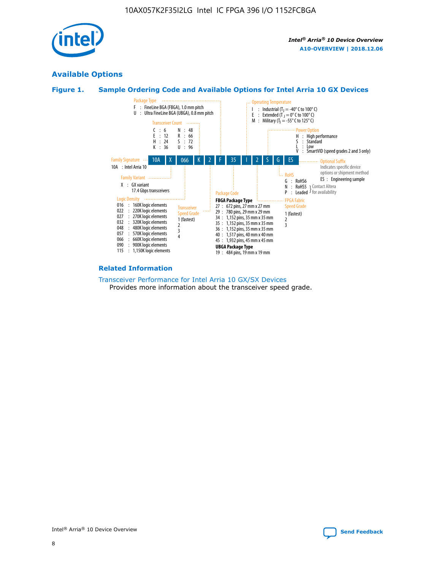

# **Available Options**





#### **Related Information**

[Transceiver Performance for Intel Arria 10 GX/SX Devices](https://www.intel.com/content/www/us/en/programmable/documentation/mcn1413182292568.html#mcn1413213965502) Provides more information about the transceiver speed grade.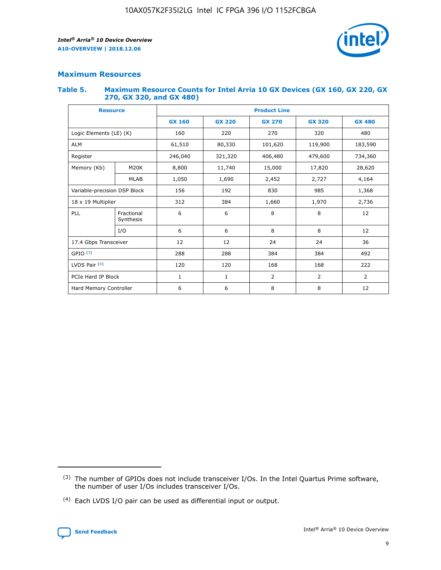

## **Maximum Resources**

#### **Table 5. Maximum Resource Counts for Intel Arria 10 GX Devices (GX 160, GX 220, GX 270, GX 320, and GX 480)**

| <b>Resource</b>              |                         | <b>Product Line</b> |                                                 |                |                |                |  |  |  |
|------------------------------|-------------------------|---------------------|-------------------------------------------------|----------------|----------------|----------------|--|--|--|
|                              |                         | <b>GX 160</b>       | <b>GX 220</b><br><b>GX 270</b><br><b>GX 320</b> |                |                | <b>GX 480</b>  |  |  |  |
| Logic Elements (LE) (K)      |                         | 160                 | 220                                             | 270            | 320            | 480            |  |  |  |
| <b>ALM</b>                   |                         | 61,510              | 80,330                                          | 101,620        | 119,900        | 183,590        |  |  |  |
| Register                     |                         | 246,040             | 321,320                                         | 406,480        | 479,600        | 734,360        |  |  |  |
| Memory (Kb)                  | M <sub>20</sub> K       | 8,800               | 11,740                                          | 15,000         | 17,820         | 28,620         |  |  |  |
| <b>MLAB</b>                  |                         | 1,050               | 1,690<br>2,452                                  |                | 2,727          | 4,164          |  |  |  |
| Variable-precision DSP Block |                         | 156                 | 985<br>192<br>830                               |                |                | 1,368          |  |  |  |
| 18 x 19 Multiplier           |                         | 312                 | 384                                             | 1,660<br>1,970 |                | 2,736          |  |  |  |
| PLL                          | Fractional<br>Synthesis | 6                   | 6                                               | 8              | 8              | 12             |  |  |  |
|                              | I/O                     | 6                   | 6                                               | 8              | 8              | 12             |  |  |  |
| 17.4 Gbps Transceiver        |                         | 12                  | 12                                              | 24             | 24             |                |  |  |  |
| GPIO <sup>(3)</sup>          |                         | 288                 | 288                                             | 384<br>384     |                | 492            |  |  |  |
| LVDS Pair $(4)$              |                         | 120                 | 120                                             | 168            | 168            | 222            |  |  |  |
| PCIe Hard IP Block           |                         | $\mathbf{1}$        | 1                                               | $\overline{2}$ | $\overline{2}$ | $\overline{2}$ |  |  |  |
| Hard Memory Controller       |                         | 6                   | 6                                               | 8              | 8              | 12             |  |  |  |

<sup>(4)</sup> Each LVDS I/O pair can be used as differential input or output.



<sup>(3)</sup> The number of GPIOs does not include transceiver I/Os. In the Intel Quartus Prime software, the number of user I/Os includes transceiver I/Os.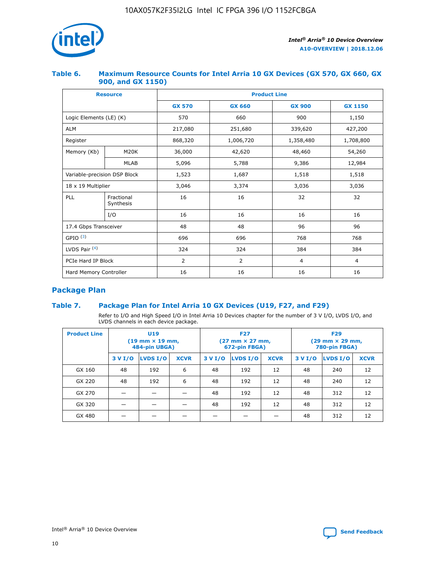

### **Table 6. Maximum Resource Counts for Intel Arria 10 GX Devices (GX 570, GX 660, GX 900, and GX 1150)**

|                              | <b>Resource</b>         | <b>Product Line</b> |                |                |                |  |  |  |
|------------------------------|-------------------------|---------------------|----------------|----------------|----------------|--|--|--|
|                              |                         | <b>GX 570</b>       | <b>GX 660</b>  | <b>GX 900</b>  | <b>GX 1150</b> |  |  |  |
| Logic Elements (LE) (K)      |                         | 570                 | 660            | 900            | 1,150          |  |  |  |
| <b>ALM</b>                   |                         | 217,080             | 251,680        | 339,620        | 427,200        |  |  |  |
| Register                     |                         | 868,320             | 1,006,720      | 1,358,480      | 1,708,800      |  |  |  |
| Memory (Kb)                  | <b>M20K</b>             | 36,000              | 42,620         | 48,460         | 54,260         |  |  |  |
|                              | <b>MLAB</b>             | 5,096               | 5,788          | 9,386          | 12,984         |  |  |  |
| Variable-precision DSP Block |                         | 1,523               | 1,687          | 1,518          | 1,518          |  |  |  |
| $18 \times 19$ Multiplier    |                         | 3,046               | 3,374          | 3,036          | 3,036          |  |  |  |
| PLL                          | Fractional<br>Synthesis | 16                  | 16             | 32             | 32             |  |  |  |
|                              | I/O                     | 16                  | 16             | 16             | 16             |  |  |  |
| 17.4 Gbps Transceiver        |                         | 48                  | 48             | 96             | 96             |  |  |  |
| GPIO <sup>(3)</sup>          |                         | 696                 | 696            | 768            | 768            |  |  |  |
| LVDS Pair $(4)$              |                         | 324                 | 324<br>384     |                | 384            |  |  |  |
| PCIe Hard IP Block           |                         | 2                   | $\overline{2}$ | $\overline{4}$ | 4              |  |  |  |
| Hard Memory Controller       |                         | 16                  | 16             | 16             | 16             |  |  |  |

# **Package Plan**

## **Table 7. Package Plan for Intel Arria 10 GX Devices (U19, F27, and F29)**

Refer to I/O and High Speed I/O in Intel Arria 10 Devices chapter for the number of 3 V I/O, LVDS I/O, and LVDS channels in each device package.

| <b>Product Line</b> | U <sub>19</sub><br>$(19 \text{ mm} \times 19 \text{ mm})$<br>484-pin UBGA) |          |             |         | <b>F27</b><br>(27 mm × 27 mm,<br>672-pin FBGA) |             | <b>F29</b><br>$(29 \text{ mm} \times 29 \text{ mm})$<br>780-pin FBGA) |          |             |  |
|---------------------|----------------------------------------------------------------------------|----------|-------------|---------|------------------------------------------------|-------------|-----------------------------------------------------------------------|----------|-------------|--|
|                     | 3 V I/O                                                                    | LVDS I/O | <b>XCVR</b> | 3 V I/O | LVDS I/O                                       | <b>XCVR</b> | 3 V I/O                                                               | LVDS I/O | <b>XCVR</b> |  |
| GX 160              | 48                                                                         | 192      | 6           | 48      | 192                                            | 12          | 48                                                                    | 240      | 12          |  |
| GX 220              | 48                                                                         | 192      | 6           | 48      | 192                                            | 12          | 48                                                                    | 240      | 12          |  |
| GX 270              |                                                                            |          |             | 48      | 192                                            | 12          | 48                                                                    | 312      | 12          |  |
| GX 320              |                                                                            |          |             | 48      | 192                                            | 12          | 48                                                                    | 312      | 12          |  |
| GX 480              |                                                                            |          |             |         |                                                |             | 48                                                                    | 312      | 12          |  |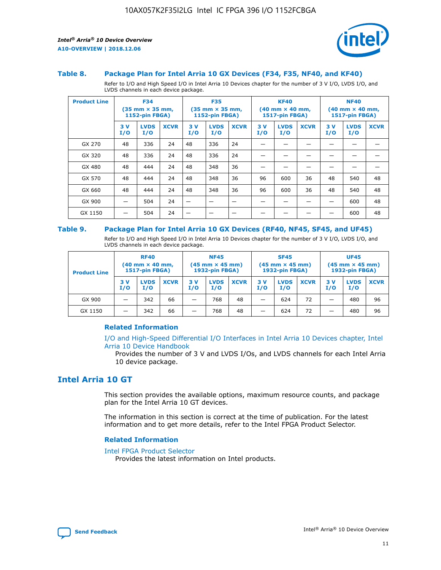

#### **Table 8. Package Plan for Intel Arria 10 GX Devices (F34, F35, NF40, and KF40)**

Refer to I/O and High Speed I/O in Intel Arria 10 Devices chapter for the number of 3 V I/O, LVDS I/O, and LVDS channels in each device package.

| <b>Product Line</b> | <b>F34</b><br>$(35 \text{ mm} \times 35 \text{ mm})$<br><b>1152-pin FBGA)</b> |                    | <b>F35</b><br>$(35 \text{ mm} \times 35 \text{ mm})$<br><b>1152-pin FBGA)</b> |           | <b>KF40</b><br>$(40$ mm $\times$ 40 mm,<br>1517-pin FBGA) |             |           | <b>NF40</b><br>$(40 \text{ mm} \times 40 \text{ mm})$<br>1517-pin FBGA) |             |           |                    |             |
|---------------------|-------------------------------------------------------------------------------|--------------------|-------------------------------------------------------------------------------|-----------|-----------------------------------------------------------|-------------|-----------|-------------------------------------------------------------------------|-------------|-----------|--------------------|-------------|
|                     | 3V<br>I/O                                                                     | <b>LVDS</b><br>I/O | <b>XCVR</b>                                                                   | 3V<br>I/O | <b>LVDS</b><br>I/O                                        | <b>XCVR</b> | 3V<br>I/O | <b>LVDS</b><br>I/O                                                      | <b>XCVR</b> | 3V<br>I/O | <b>LVDS</b><br>I/O | <b>XCVR</b> |
| GX 270              | 48                                                                            | 336                | 24                                                                            | 48        | 336                                                       | 24          |           |                                                                         |             |           |                    |             |
| GX 320              | 48                                                                            | 336                | 24                                                                            | 48        | 336                                                       | 24          |           |                                                                         |             |           |                    |             |
| GX 480              | 48                                                                            | 444                | 24                                                                            | 48        | 348                                                       | 36          |           |                                                                         |             |           |                    |             |
| GX 570              | 48                                                                            | 444                | 24                                                                            | 48        | 348                                                       | 36          | 96        | 600                                                                     | 36          | 48        | 540                | 48          |
| GX 660              | 48                                                                            | 444                | 24                                                                            | 48        | 348                                                       | 36          | 96        | 600                                                                     | 36          | 48        | 540                | 48          |
| GX 900              |                                                                               | 504                | 24                                                                            | –         |                                                           | -           |           |                                                                         |             |           | 600                | 48          |
| GX 1150             |                                                                               | 504                | 24                                                                            |           |                                                           |             |           |                                                                         |             |           | 600                | 48          |

#### **Table 9. Package Plan for Intel Arria 10 GX Devices (RF40, NF45, SF45, and UF45)**

Refer to I/O and High Speed I/O in Intel Arria 10 Devices chapter for the number of 3 V I/O, LVDS I/O, and LVDS channels in each device package.

| <b>Product Line</b> | <b>RF40</b><br>$(40$ mm $\times$ 40 mm,<br>1517-pin FBGA) |                    |             | <b>NF45</b><br>$(45 \text{ mm} \times 45 \text{ mm})$<br><b>1932-pin FBGA)</b> |                    |             | <b>SF45</b><br>$(45 \text{ mm} \times 45 \text{ mm})$<br><b>1932-pin FBGA)</b> |                    |             | <b>UF45</b><br>$(45 \text{ mm} \times 45 \text{ mm})$<br><b>1932-pin FBGA)</b> |                    |             |
|---------------------|-----------------------------------------------------------|--------------------|-------------|--------------------------------------------------------------------------------|--------------------|-------------|--------------------------------------------------------------------------------|--------------------|-------------|--------------------------------------------------------------------------------|--------------------|-------------|
|                     | 3V<br>I/O                                                 | <b>LVDS</b><br>I/O | <b>XCVR</b> | 3 V<br>I/O                                                                     | <b>LVDS</b><br>I/O | <b>XCVR</b> | 3 V<br>I/O                                                                     | <b>LVDS</b><br>I/O | <b>XCVR</b> | 3V<br>I/O                                                                      | <b>LVDS</b><br>I/O | <b>XCVR</b> |
| GX 900              |                                                           | 342                | 66          | _                                                                              | 768                | 48          |                                                                                | 624                | 72          |                                                                                | 480                | 96          |
| GX 1150             |                                                           | 342                | 66          | _                                                                              | 768                | 48          |                                                                                | 624                | 72          |                                                                                | 480                | 96          |

#### **Related Information**

[I/O and High-Speed Differential I/O Interfaces in Intel Arria 10 Devices chapter, Intel](https://www.intel.com/content/www/us/en/programmable/documentation/sam1403482614086.html#sam1403482030321) [Arria 10 Device Handbook](https://www.intel.com/content/www/us/en/programmable/documentation/sam1403482614086.html#sam1403482030321)

Provides the number of 3 V and LVDS I/Os, and LVDS channels for each Intel Arria 10 device package.

# **Intel Arria 10 GT**

This section provides the available options, maximum resource counts, and package plan for the Intel Arria 10 GT devices.

The information in this section is correct at the time of publication. For the latest information and to get more details, refer to the Intel FPGA Product Selector.

#### **Related Information**

#### [Intel FPGA Product Selector](http://www.altera.com/products/selector/psg-selector.html)

Provides the latest information on Intel products.

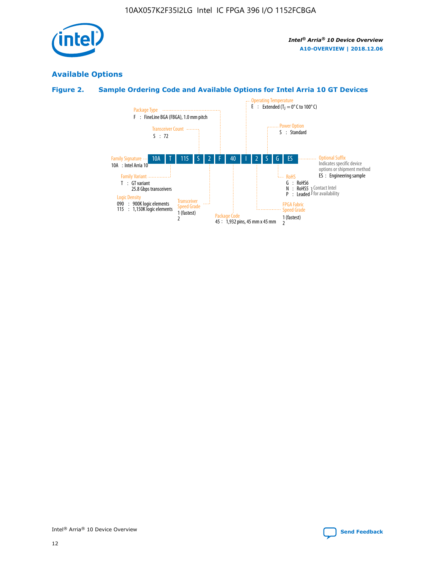

# **Available Options**

# **Figure 2. Sample Ordering Code and Available Options for Intel Arria 10 GT Devices**

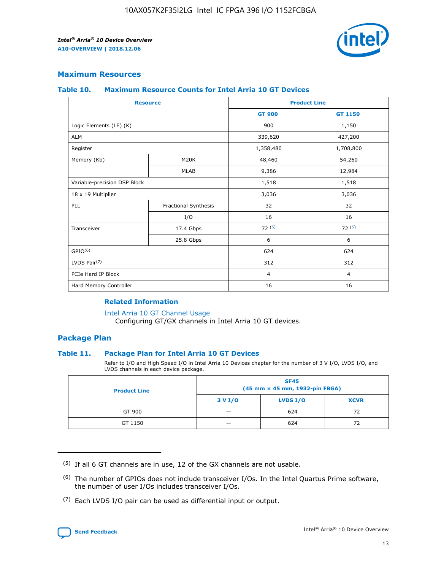

## **Maximum Resources**

#### **Table 10. Maximum Resource Counts for Intel Arria 10 GT Devices**

|                              | <b>Resource</b>      | <b>Product Line</b> |                |  |
|------------------------------|----------------------|---------------------|----------------|--|
|                              |                      | <b>GT 900</b>       | GT 1150        |  |
| Logic Elements (LE) (K)      |                      | 900                 | 1,150          |  |
| <b>ALM</b>                   |                      | 339,620             | 427,200        |  |
| Register                     |                      | 1,358,480           | 1,708,800      |  |
| Memory (Kb)                  | M20K                 | 48,460              | 54,260         |  |
|                              | <b>MLAB</b>          | 9,386               | 12,984         |  |
| Variable-precision DSP Block |                      | 1,518               | 1,518          |  |
| 18 x 19 Multiplier           |                      | 3,036               | 3,036          |  |
| PLL                          | Fractional Synthesis | 32                  | 32             |  |
|                              | I/O                  | 16                  | 16             |  |
| Transceiver                  | 17.4 Gbps            | 72(5)               | 72(5)          |  |
|                              | 25.8 Gbps            | 6                   | 6              |  |
| GPIO <sup>(6)</sup>          |                      | 624                 | 624            |  |
| LVDS Pair $(7)$              |                      | 312                 | 312            |  |
| PCIe Hard IP Block           |                      | $\overline{4}$      | $\overline{4}$ |  |
| Hard Memory Controller       |                      | 16                  | 16             |  |

#### **Related Information**

#### [Intel Arria 10 GT Channel Usage](https://www.intel.com/content/www/us/en/programmable/documentation/nik1398707230472.html#nik1398707008178)

Configuring GT/GX channels in Intel Arria 10 GT devices.

## **Package Plan**

#### **Table 11. Package Plan for Intel Arria 10 GT Devices**

Refer to I/O and High Speed I/O in Intel Arria 10 Devices chapter for the number of 3 V I/O, LVDS I/O, and LVDS channels in each device package.

| <b>Product Line</b> | <b>SF45</b><br>(45 mm × 45 mm, 1932-pin FBGA) |                 |             |  |  |  |
|---------------------|-----------------------------------------------|-----------------|-------------|--|--|--|
|                     | 3 V I/O                                       | <b>LVDS I/O</b> | <b>XCVR</b> |  |  |  |
| GT 900              |                                               | 624             | 72          |  |  |  |
| GT 1150             |                                               | 624             | 72          |  |  |  |

<sup>(7)</sup> Each LVDS I/O pair can be used as differential input or output.



 $(5)$  If all 6 GT channels are in use, 12 of the GX channels are not usable.

<sup>(6)</sup> The number of GPIOs does not include transceiver I/Os. In the Intel Quartus Prime software, the number of user I/Os includes transceiver I/Os.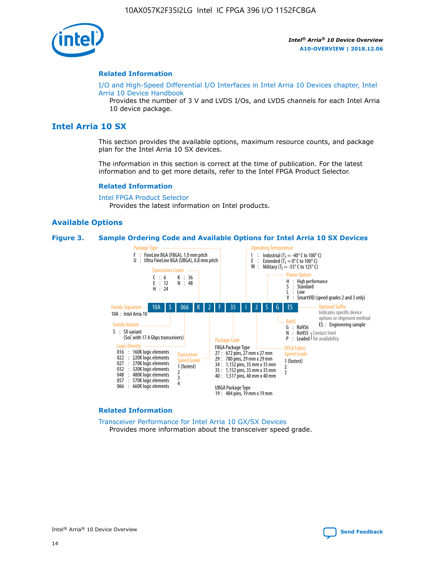

#### **Related Information**

[I/O and High-Speed Differential I/O Interfaces in Intel Arria 10 Devices chapter, Intel](https://www.intel.com/content/www/us/en/programmable/documentation/sam1403482614086.html#sam1403482030321) [Arria 10 Device Handbook](https://www.intel.com/content/www/us/en/programmable/documentation/sam1403482614086.html#sam1403482030321)

Provides the number of 3 V and LVDS I/Os, and LVDS channels for each Intel Arria 10 device package.

# **Intel Arria 10 SX**

This section provides the available options, maximum resource counts, and package plan for the Intel Arria 10 SX devices.

The information in this section is correct at the time of publication. For the latest information and to get more details, refer to the Intel FPGA Product Selector.

#### **Related Information**

[Intel FPGA Product Selector](http://www.altera.com/products/selector/psg-selector.html) Provides the latest information on Intel products.

#### **Available Options**

#### **Figure 3. Sample Ordering Code and Available Options for Intel Arria 10 SX Devices**



#### **Related Information**

[Transceiver Performance for Intel Arria 10 GX/SX Devices](https://www.intel.com/content/www/us/en/programmable/documentation/mcn1413182292568.html#mcn1413213965502) Provides more information about the transceiver speed grade.

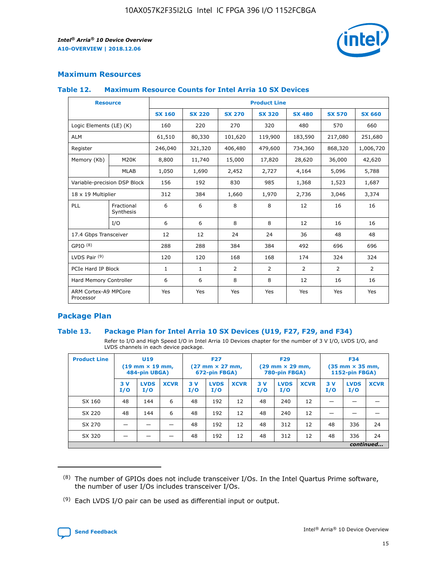

## **Maximum Resources**

#### **Table 12. Maximum Resource Counts for Intel Arria 10 SX Devices**

| <b>Resource</b>                   |                         | <b>Product Line</b> |               |                |                |                |                |                |  |  |  |
|-----------------------------------|-------------------------|---------------------|---------------|----------------|----------------|----------------|----------------|----------------|--|--|--|
|                                   |                         | <b>SX 160</b>       | <b>SX 220</b> | <b>SX 270</b>  | <b>SX 320</b>  | <b>SX 480</b>  | <b>SX 570</b>  | <b>SX 660</b>  |  |  |  |
| Logic Elements (LE) (K)           |                         | 160                 | 220           | 270            | 320            | 480            | 570            | 660            |  |  |  |
| <b>ALM</b>                        |                         | 61,510              | 80,330        | 101,620        | 119,900        | 183,590        | 217,080        | 251,680        |  |  |  |
| Register                          |                         | 246,040             | 321,320       | 406,480        | 479,600        | 734,360        | 868,320        | 1,006,720      |  |  |  |
| Memory (Kb)                       | M <sub>20</sub> K       | 8,800               | 11,740        | 15,000         | 17,820         | 28,620         | 36,000         | 42,620         |  |  |  |
|                                   | <b>MLAB</b>             | 1,050               | 1,690         | 2,452          | 2,727          | 4,164          | 5,096          | 5,788          |  |  |  |
| Variable-precision DSP Block      |                         | 156                 | 192           | 830            | 985            | 1,368          | 1,523          | 1,687          |  |  |  |
| 18 x 19 Multiplier                |                         | 312                 | 384           | 1,660          | 1,970          | 2,736          | 3,046          | 3,374          |  |  |  |
| PLL                               | Fractional<br>Synthesis | 6                   | 6             | 8              | 8              | 12             | 16             | 16             |  |  |  |
|                                   | I/O                     | 6                   | 6             | 8              | 8              | 12             | 16             | 16             |  |  |  |
| 17.4 Gbps Transceiver             |                         | 12                  | 12            | 24             | 24             | 36             | 48             | 48             |  |  |  |
| GPIO <sup>(8)</sup>               |                         | 288                 | 288           | 384            | 384            | 492            | 696            | 696            |  |  |  |
| LVDS Pair $(9)$                   |                         | 120                 | 120           | 168            | 168            | 174            | 324            | 324            |  |  |  |
| PCIe Hard IP Block                |                         | $\mathbf{1}$        | $\mathbf{1}$  | $\overline{2}$ | $\overline{2}$ | $\overline{2}$ | $\overline{2}$ | $\overline{2}$ |  |  |  |
| Hard Memory Controller            |                         | 6                   | 6             | 8              | 8              | 12             | 16             | 16             |  |  |  |
| ARM Cortex-A9 MPCore<br>Processor |                         | Yes                 | Yes           | Yes            | Yes            | Yes            | Yes            | <b>Yes</b>     |  |  |  |

## **Package Plan**

#### **Table 13. Package Plan for Intel Arria 10 SX Devices (U19, F27, F29, and F34)**

Refer to I/O and High Speed I/O in Intel Arria 10 Devices chapter for the number of 3 V I/O, LVDS I/O, and LVDS channels in each device package.

| <b>Product Line</b> | U <sub>19</sub><br>$(19 \text{ mm} \times 19 \text{ mm})$<br>484-pin UBGA) |                    |             | <b>F27</b><br>$(27 \text{ mm} \times 27 \text{ mm})$<br>672-pin FBGA) |                    | <b>F29</b><br>$(29 \text{ mm} \times 29 \text{ mm})$<br>780-pin FBGA) |           |                    | <b>F34</b><br>$(35 \text{ mm} \times 35 \text{ mm})$<br><b>1152-pin FBGA)</b> |           |                    |             |
|---------------------|----------------------------------------------------------------------------|--------------------|-------------|-----------------------------------------------------------------------|--------------------|-----------------------------------------------------------------------|-----------|--------------------|-------------------------------------------------------------------------------|-----------|--------------------|-------------|
|                     | 3V<br>I/O                                                                  | <b>LVDS</b><br>I/O | <b>XCVR</b> | 3V<br>I/O                                                             | <b>LVDS</b><br>I/O | <b>XCVR</b>                                                           | 3V<br>I/O | <b>LVDS</b><br>I/O | <b>XCVR</b>                                                                   | 3V<br>I/O | <b>LVDS</b><br>I/O | <b>XCVR</b> |
| SX 160              | 48                                                                         | 144                | 6           | 48                                                                    | 192                | 12                                                                    | 48        | 240                | 12                                                                            |           |                    |             |
| SX 220              | 48                                                                         | 144                | 6           | 48                                                                    | 192                | 12                                                                    | 48        | 240                | 12                                                                            |           |                    |             |
| SX 270              |                                                                            |                    |             | 48                                                                    | 192                | 12                                                                    | 48        | 312                | 12                                                                            | 48        | 336                | 24          |
| SX 320              |                                                                            |                    |             | 48                                                                    | 192                | 12                                                                    | 48        | 312                | 12                                                                            | 48        | 336                | 24          |
|                     | continued                                                                  |                    |             |                                                                       |                    |                                                                       |           |                    |                                                                               |           |                    |             |

 $(8)$  The number of GPIOs does not include transceiver I/Os. In the Intel Quartus Prime software, the number of user I/Os includes transceiver I/Os.

 $(9)$  Each LVDS I/O pair can be used as differential input or output.

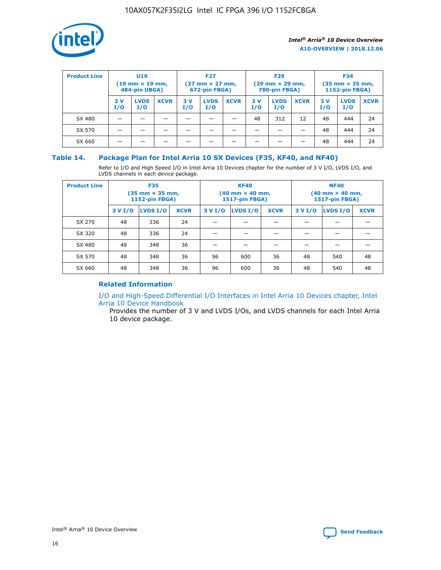

| <b>Product Line</b> | <b>U19</b><br>$(19 \text{ mm} \times 19 \text{ mm})$<br>484-pin UBGA) |                    | <b>F27</b><br>$(27 \text{ mm} \times 27 \text{ mm})$<br>672-pin FBGA) |            | <b>F29</b><br>$(29$ mm $\times$ 29 mm,<br>780-pin FBGA) |             |           | <b>F34</b><br>$(35$ mm $\times$ 35 mm,<br><b>1152-pin FBGA)</b> |             |           |                    |             |
|---------------------|-----------------------------------------------------------------------|--------------------|-----------------------------------------------------------------------|------------|---------------------------------------------------------|-------------|-----------|-----------------------------------------------------------------|-------------|-----------|--------------------|-------------|
|                     | 3 V<br>I/O                                                            | <b>LVDS</b><br>I/O | <b>XCVR</b>                                                           | 3 V<br>I/O | <b>LVDS</b><br>I/O                                      | <b>XCVR</b> | 3V<br>I/O | <b>LVDS</b><br>I/O                                              | <b>XCVR</b> | 3V<br>I/O | <b>LVDS</b><br>I/O | <b>XCVR</b> |
| SX 480              |                                                                       |                    |                                                                       |            |                                                         |             | 48        | 312                                                             | 12          | 48        | 444                | 24          |
| SX 570              |                                                                       |                    |                                                                       |            |                                                         |             |           |                                                                 |             | 48        | 444                | 24          |
| SX 660              |                                                                       |                    |                                                                       |            |                                                         |             |           |                                                                 |             | 48        | 444                | 24          |

## **Table 14. Package Plan for Intel Arria 10 SX Devices (F35, KF40, and NF40)**

Refer to I/O and High Speed I/O in Intel Arria 10 Devices chapter for the number of 3 V I/O, LVDS I/O, and LVDS channels in each device package.

| <b>Product Line</b> | <b>F35</b><br>(35 mm × 35 mm,<br><b>1152-pin FBGA)</b> |          |             |                                           | <b>KF40</b><br>(40 mm × 40 mm,<br>1517-pin FBGA) |    | <b>NF40</b><br>$(40 \text{ mm} \times 40 \text{ mm})$<br>1517-pin FBGA) |          |             |  |
|---------------------|--------------------------------------------------------|----------|-------------|-------------------------------------------|--------------------------------------------------|----|-------------------------------------------------------------------------|----------|-------------|--|
|                     | 3 V I/O                                                | LVDS I/O | <b>XCVR</b> | <b>LVDS I/O</b><br>3 V I/O<br><b>XCVR</b> |                                                  |    | 3 V I/O                                                                 | LVDS I/O | <b>XCVR</b> |  |
| SX 270              | 48                                                     | 336      | 24          |                                           |                                                  |    |                                                                         |          |             |  |
| SX 320              | 48                                                     | 336      | 24          |                                           |                                                  |    |                                                                         |          |             |  |
| SX 480              | 48                                                     | 348      | 36          |                                           |                                                  |    |                                                                         |          |             |  |
| SX 570              | 48                                                     | 348      | 36          | 96                                        | 600                                              | 36 | 48                                                                      | 540      | 48          |  |
| SX 660              | 48                                                     | 348      | 36          | 96                                        | 600                                              | 36 | 48                                                                      | 540      | 48          |  |

# **Related Information**

[I/O and High-Speed Differential I/O Interfaces in Intel Arria 10 Devices chapter, Intel](https://www.intel.com/content/www/us/en/programmable/documentation/sam1403482614086.html#sam1403482030321) [Arria 10 Device Handbook](https://www.intel.com/content/www/us/en/programmable/documentation/sam1403482614086.html#sam1403482030321)

Provides the number of 3 V and LVDS I/Os, and LVDS channels for each Intel Arria 10 device package.

Intel<sup>®</sup> Arria<sup>®</sup> 10 Device Overview **[Send Feedback](mailto:FPGAtechdocfeedback@intel.com?subject=Feedback%20on%20Intel%20Arria%2010%20Device%20Overview%20(A10-OVERVIEW%202018.12.06)&body=We%20appreciate%20your%20feedback.%20In%20your%20comments,%20also%20specify%20the%20page%20number%20or%20paragraph.%20Thank%20you.)** Send Feedback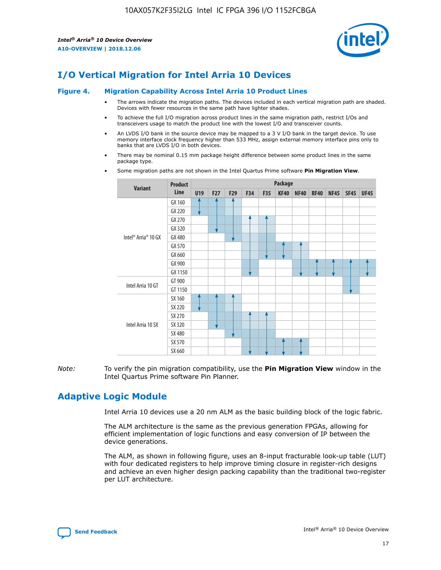

# **I/O Vertical Migration for Intel Arria 10 Devices**

#### **Figure 4. Migration Capability Across Intel Arria 10 Product Lines**

- The arrows indicate the migration paths. The devices included in each vertical migration path are shaded. Devices with fewer resources in the same path have lighter shades.
- To achieve the full I/O migration across product lines in the same migration path, restrict I/Os and transceivers usage to match the product line with the lowest I/O and transceiver counts.
- An LVDS I/O bank in the source device may be mapped to a 3 V I/O bank in the target device. To use memory interface clock frequency higher than 533 MHz, assign external memory interface pins only to banks that are LVDS I/O in both devices.
- There may be nominal 0.15 mm package height difference between some product lines in the same package type.
	- **Variant Product Line Package U19 F27 F29 F34 F35 KF40 NF40 RF40 NF45 SF45 UF45** Intel® Arria® 10 GX GX 160 GX 220 GX 270 GX 320 GX 480 GX 570 GX 660 GX 900 GX 1150 Intel Arria 10 GT GT 900 GT 1150 Intel Arria 10 SX SX 160 SX 220 SX 270 SX 320 SX 480 SX 570 SX 660
- Some migration paths are not shown in the Intel Quartus Prime software **Pin Migration View**.

*Note:* To verify the pin migration compatibility, use the **Pin Migration View** window in the Intel Quartus Prime software Pin Planner.

# **Adaptive Logic Module**

Intel Arria 10 devices use a 20 nm ALM as the basic building block of the logic fabric.

The ALM architecture is the same as the previous generation FPGAs, allowing for efficient implementation of logic functions and easy conversion of IP between the device generations.

The ALM, as shown in following figure, uses an 8-input fracturable look-up table (LUT) with four dedicated registers to help improve timing closure in register-rich designs and achieve an even higher design packing capability than the traditional two-register per LUT architecture.

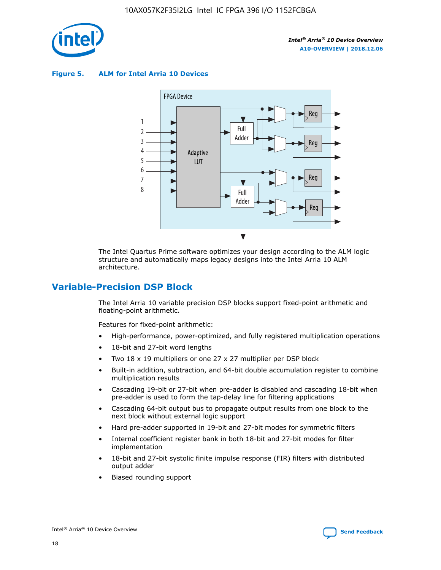

**Figure 5. ALM for Intel Arria 10 Devices**



The Intel Quartus Prime software optimizes your design according to the ALM logic structure and automatically maps legacy designs into the Intel Arria 10 ALM architecture.

# **Variable-Precision DSP Block**

The Intel Arria 10 variable precision DSP blocks support fixed-point arithmetic and floating-point arithmetic.

Features for fixed-point arithmetic:

- High-performance, power-optimized, and fully registered multiplication operations
- 18-bit and 27-bit word lengths
- Two 18 x 19 multipliers or one 27 x 27 multiplier per DSP block
- Built-in addition, subtraction, and 64-bit double accumulation register to combine multiplication results
- Cascading 19-bit or 27-bit when pre-adder is disabled and cascading 18-bit when pre-adder is used to form the tap-delay line for filtering applications
- Cascading 64-bit output bus to propagate output results from one block to the next block without external logic support
- Hard pre-adder supported in 19-bit and 27-bit modes for symmetric filters
- Internal coefficient register bank in both 18-bit and 27-bit modes for filter implementation
- 18-bit and 27-bit systolic finite impulse response (FIR) filters with distributed output adder
- Biased rounding support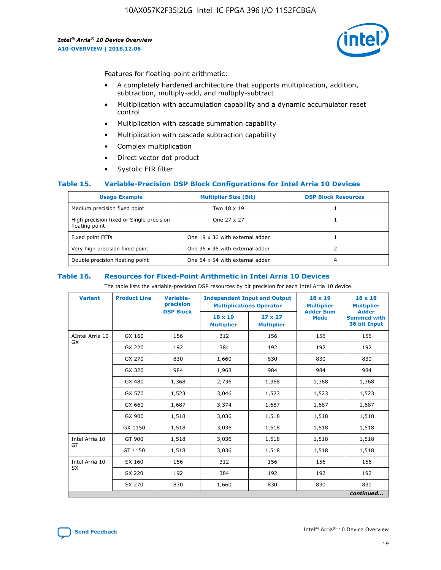

Features for floating-point arithmetic:

- A completely hardened architecture that supports multiplication, addition, subtraction, multiply-add, and multiply-subtract
- Multiplication with accumulation capability and a dynamic accumulator reset control
- Multiplication with cascade summation capability
- Multiplication with cascade subtraction capability
- Complex multiplication
- Direct vector dot product
- Systolic FIR filter

#### **Table 15. Variable-Precision DSP Block Configurations for Intel Arria 10 Devices**

| <b>Usage Example</b>                                       | <b>Multiplier Size (Bit)</b>    | <b>DSP Block Resources</b> |
|------------------------------------------------------------|---------------------------------|----------------------------|
| Medium precision fixed point                               | Two 18 x 19                     |                            |
| High precision fixed or Single precision<br>floating point | One 27 x 27                     |                            |
| Fixed point FFTs                                           | One 19 x 36 with external adder |                            |
| Very high precision fixed point                            | One 36 x 36 with external adder |                            |
| Double precision floating point                            | One 54 x 54 with external adder | 4                          |

#### **Table 16. Resources for Fixed-Point Arithmetic in Intel Arria 10 Devices**

The table lists the variable-precision DSP resources by bit precision for each Intel Arria 10 device.

| <b>Variant</b>  | <b>Product Line</b> | <b>Variable-</b><br>precision<br><b>DSP Block</b> | <b>Independent Input and Output</b><br><b>Multiplications Operator</b> |                                     | 18 x 19<br><b>Multiplier</b><br><b>Adder Sum</b> | $18 \times 18$<br><b>Multiplier</b><br><b>Adder</b> |
|-----------------|---------------------|---------------------------------------------------|------------------------------------------------------------------------|-------------------------------------|--------------------------------------------------|-----------------------------------------------------|
|                 |                     |                                                   | 18 x 19<br><b>Multiplier</b>                                           | $27 \times 27$<br><b>Multiplier</b> | <b>Mode</b>                                      | <b>Summed with</b><br>36 bit Input                  |
| AIntel Arria 10 | GX 160              | 156                                               | 312                                                                    | 156                                 | 156                                              | 156                                                 |
| GX              | GX 220              | 192                                               | 384                                                                    | 192                                 | 192                                              | 192                                                 |
|                 | GX 270              | 830                                               | 1,660                                                                  | 830                                 | 830                                              | 830                                                 |
|                 | GX 320              | 984                                               | 1,968                                                                  | 984                                 | 984                                              | 984                                                 |
|                 | GX 480              | 1,368                                             | 2,736                                                                  | 1,368                               | 1,368                                            | 1,368                                               |
|                 | GX 570              | 1,523                                             | 3,046                                                                  | 1,523                               | 1,523                                            | 1,523                                               |
|                 | GX 660              | 1,687                                             | 3,374                                                                  | 1,687                               | 1,687                                            | 1,687                                               |
|                 | GX 900              | 1,518                                             | 3,036                                                                  | 1,518                               | 1,518                                            | 1,518                                               |
|                 | GX 1150             | 1,518                                             | 3,036                                                                  | 1,518                               | 1,518                                            | 1,518                                               |
| Intel Arria 10  | GT 900              | 1,518                                             | 3,036                                                                  | 1,518                               | 1,518                                            | 1,518                                               |
| GT              | GT 1150             | 1,518                                             | 3,036                                                                  | 1,518                               | 1,518                                            | 1,518                                               |
| Intel Arria 10  | SX 160              | 156                                               | 312                                                                    | 156                                 | 156                                              | 156                                                 |
| <b>SX</b>       | SX 220              | 192                                               | 384                                                                    | 192                                 | 192                                              | 192                                                 |
|                 | SX 270              | 830                                               | 1,660                                                                  | 830                                 | 830                                              | 830                                                 |
|                 |                     |                                                   |                                                                        |                                     |                                                  | continued                                           |

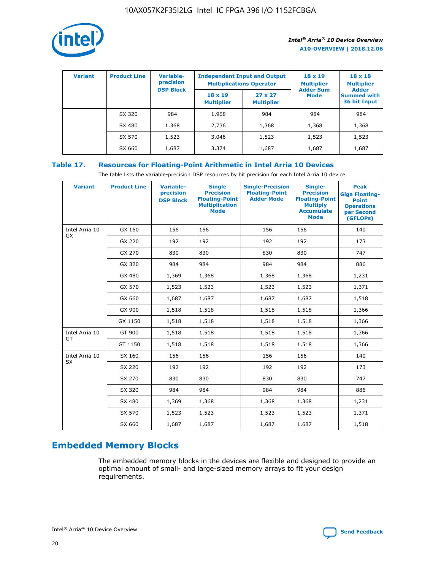

| <b>Variant</b> | <b>Product Line</b> | <b>Variable-</b><br>precision |                                     | <b>Independent Input and Output</b><br><b>Multiplications Operator</b> | $18 \times 19$<br><b>Multiplier</b> | $18 \times 18$<br><b>Multiplier</b><br><b>Adder</b> |  |
|----------------|---------------------|-------------------------------|-------------------------------------|------------------------------------------------------------------------|-------------------------------------|-----------------------------------------------------|--|
|                |                     | <b>DSP Block</b>              | $18 \times 19$<br><b>Multiplier</b> | $27 \times 27$<br><b>Multiplier</b>                                    | <b>Adder Sum</b><br><b>Mode</b>     | <b>Summed with</b><br>36 bit Input                  |  |
|                | SX 320              | 984                           | 1,968                               | 984                                                                    | 984                                 | 984                                                 |  |
|                | SX 480              | 1,368                         | 2,736                               | 1,368                                                                  | 1,368                               | 1,368                                               |  |
|                | SX 570              | 1,523                         | 3,046                               | 1,523                                                                  | 1,523                               | 1,523                                               |  |
|                | SX 660              | 1,687                         | 3,374                               | 1,687                                                                  | 1,687                               | 1,687                                               |  |

# **Table 17. Resources for Floating-Point Arithmetic in Intel Arria 10 Devices**

The table lists the variable-precision DSP resources by bit precision for each Intel Arria 10 device.

| <b>Variant</b> | <b>Product Line</b> | <b>Variable-</b><br>precision<br><b>DSP Block</b> | <b>Single</b><br><b>Precision</b><br><b>Floating-Point</b><br><b>Multiplication</b><br><b>Mode</b> | <b>Single-Precision</b><br><b>Floating-Point</b><br><b>Adder Mode</b> | Single-<br><b>Precision</b><br><b>Floating-Point</b><br><b>Multiply</b><br><b>Accumulate</b><br><b>Mode</b> | <b>Peak</b><br><b>Giga Floating-</b><br><b>Point</b><br><b>Operations</b><br>per Second<br>(GFLOPs) |
|----------------|---------------------|---------------------------------------------------|----------------------------------------------------------------------------------------------------|-----------------------------------------------------------------------|-------------------------------------------------------------------------------------------------------------|-----------------------------------------------------------------------------------------------------|
| Intel Arria 10 | GX 160              | 156                                               | 156                                                                                                | 156                                                                   | 156                                                                                                         | 140                                                                                                 |
| GX             | GX 220              | 192                                               | 192                                                                                                | 192                                                                   | 192                                                                                                         | 173                                                                                                 |
|                | GX 270              | 830                                               | 830                                                                                                | 830                                                                   | 830                                                                                                         | 747                                                                                                 |
|                | GX 320              | 984                                               | 984                                                                                                | 984                                                                   | 984                                                                                                         | 886                                                                                                 |
|                | GX 480              | 1,369                                             | 1,368                                                                                              | 1,368                                                                 | 1,368                                                                                                       | 1,231                                                                                               |
|                | GX 570              | 1,523                                             | 1,523                                                                                              | 1,523                                                                 | 1,523                                                                                                       | 1,371                                                                                               |
|                | GX 660              | 1,687                                             | 1,687                                                                                              | 1,687                                                                 | 1,687                                                                                                       | 1,518                                                                                               |
|                | GX 900              | 1,518                                             | 1,518                                                                                              | 1,518                                                                 | 1,518                                                                                                       | 1,366                                                                                               |
|                | GX 1150             | 1,518                                             | 1,518                                                                                              | 1,518                                                                 | 1,518                                                                                                       | 1,366                                                                                               |
| Intel Arria 10 | GT 900              | 1,518                                             | 1,518                                                                                              | 1,518                                                                 | 1,518                                                                                                       | 1,366                                                                                               |
| GT             | GT 1150             | 1,518                                             | 1,518                                                                                              | 1,518                                                                 | 1,518                                                                                                       | 1,366                                                                                               |
| Intel Arria 10 | SX 160              | 156                                               | 156                                                                                                | 156                                                                   | 156                                                                                                         | 140                                                                                                 |
| SX             | SX 220              | 192                                               | 192                                                                                                | 192                                                                   | 192                                                                                                         | 173                                                                                                 |
|                | SX 270              | 830                                               | 830                                                                                                | 830                                                                   | 830                                                                                                         | 747                                                                                                 |
|                | SX 320              | 984                                               | 984                                                                                                | 984                                                                   | 984                                                                                                         | 886                                                                                                 |
|                | SX 480              | 1,369                                             | 1,368                                                                                              | 1,368                                                                 | 1,368                                                                                                       | 1,231                                                                                               |
|                | SX 570              | 1,523                                             | 1,523                                                                                              | 1,523                                                                 | 1,523                                                                                                       | 1,371                                                                                               |
|                | SX 660              | 1,687                                             | 1,687                                                                                              | 1,687                                                                 | 1,687                                                                                                       | 1,518                                                                                               |

# **Embedded Memory Blocks**

The embedded memory blocks in the devices are flexible and designed to provide an optimal amount of small- and large-sized memory arrays to fit your design requirements.

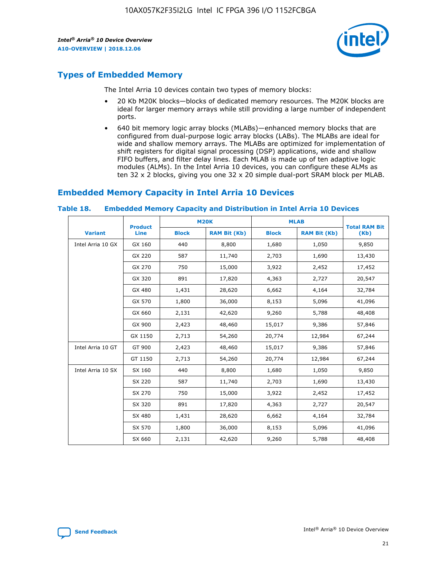

# **Types of Embedded Memory**

The Intel Arria 10 devices contain two types of memory blocks:

- 20 Kb M20K blocks—blocks of dedicated memory resources. The M20K blocks are ideal for larger memory arrays while still providing a large number of independent ports.
- 640 bit memory logic array blocks (MLABs)—enhanced memory blocks that are configured from dual-purpose logic array blocks (LABs). The MLABs are ideal for wide and shallow memory arrays. The MLABs are optimized for implementation of shift registers for digital signal processing (DSP) applications, wide and shallow FIFO buffers, and filter delay lines. Each MLAB is made up of ten adaptive logic modules (ALMs). In the Intel Arria 10 devices, you can configure these ALMs as ten 32 x 2 blocks, giving you one 32 x 20 simple dual-port SRAM block per MLAB.

# **Embedded Memory Capacity in Intel Arria 10 Devices**

|                   | <b>Product</b> |              | <b>M20K</b>         | <b>MLAB</b>  |                     | <b>Total RAM Bit</b> |
|-------------------|----------------|--------------|---------------------|--------------|---------------------|----------------------|
| <b>Variant</b>    | Line           | <b>Block</b> | <b>RAM Bit (Kb)</b> | <b>Block</b> | <b>RAM Bit (Kb)</b> | (Kb)                 |
| Intel Arria 10 GX | GX 160         | 440          | 8,800               | 1,680        | 1,050               | 9,850                |
|                   | GX 220         | 587          | 11,740              | 2,703        | 1,690               | 13,430               |
|                   | GX 270         | 750          | 15,000              | 3,922        | 2,452               | 17,452               |
|                   | GX 320         | 891          | 17,820              | 4,363        | 2,727               | 20,547               |
|                   | GX 480         | 1,431        | 28,620              | 6,662        | 4,164               | 32,784               |
|                   | GX 570         | 1,800        | 36,000              | 8,153        | 5,096               | 41,096               |
|                   | GX 660         | 2,131        | 42,620              | 9,260        | 5,788               | 48,408               |
|                   | GX 900         | 2,423        | 48,460              | 15,017       | 9,386               | 57,846               |
|                   | GX 1150        | 2,713        | 54,260              | 20,774       | 12,984              | 67,244               |
| Intel Arria 10 GT | GT 900         | 2,423        | 48,460              | 15,017       | 9,386               | 57,846               |
|                   | GT 1150        | 2,713        | 54,260              | 20,774       | 12,984              | 67,244               |
| Intel Arria 10 SX | SX 160         | 440          | 8,800               | 1,680        | 1,050               | 9,850                |
|                   | SX 220         | 587          | 11,740              | 2,703        | 1,690               | 13,430               |
|                   | SX 270         | 750          | 15,000              | 3,922        | 2,452               | 17,452               |
|                   | SX 320         | 891          | 17,820              | 4,363        | 2,727               | 20,547               |
|                   | SX 480         | 1,431        | 28,620              | 6,662        | 4,164               | 32,784               |
|                   | SX 570         | 1,800        | 36,000              | 8,153        | 5,096               | 41,096               |
|                   | SX 660         | 2,131        | 42,620              | 9,260        | 5,788               | 48,408               |

#### **Table 18. Embedded Memory Capacity and Distribution in Intel Arria 10 Devices**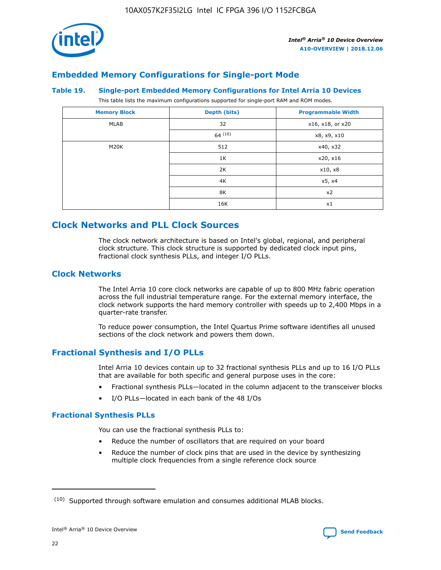

# **Embedded Memory Configurations for Single-port Mode**

#### **Table 19. Single-port Embedded Memory Configurations for Intel Arria 10 Devices**

This table lists the maximum configurations supported for single-port RAM and ROM modes.

| <b>Memory Block</b> | Depth (bits) | <b>Programmable Width</b> |
|---------------------|--------------|---------------------------|
| MLAB                | 32           | x16, x18, or x20          |
|                     | 64(10)       | x8, x9, x10               |
| M20K                | 512          | x40, x32                  |
|                     | 1K           | x20, x16                  |
|                     | 2K           | x10, x8                   |
|                     | 4K           | x5, x4                    |
|                     | 8K           | x2                        |
|                     | 16K          | x1                        |

# **Clock Networks and PLL Clock Sources**

The clock network architecture is based on Intel's global, regional, and peripheral clock structure. This clock structure is supported by dedicated clock input pins, fractional clock synthesis PLLs, and integer I/O PLLs.

## **Clock Networks**

The Intel Arria 10 core clock networks are capable of up to 800 MHz fabric operation across the full industrial temperature range. For the external memory interface, the clock network supports the hard memory controller with speeds up to 2,400 Mbps in a quarter-rate transfer.

To reduce power consumption, the Intel Quartus Prime software identifies all unused sections of the clock network and powers them down.

# **Fractional Synthesis and I/O PLLs**

Intel Arria 10 devices contain up to 32 fractional synthesis PLLs and up to 16 I/O PLLs that are available for both specific and general purpose uses in the core:

- Fractional synthesis PLLs—located in the column adjacent to the transceiver blocks
- I/O PLLs—located in each bank of the 48 I/Os

## **Fractional Synthesis PLLs**

You can use the fractional synthesis PLLs to:

- Reduce the number of oscillators that are required on your board
- Reduce the number of clock pins that are used in the device by synthesizing multiple clock frequencies from a single reference clock source

<sup>(10)</sup> Supported through software emulation and consumes additional MLAB blocks.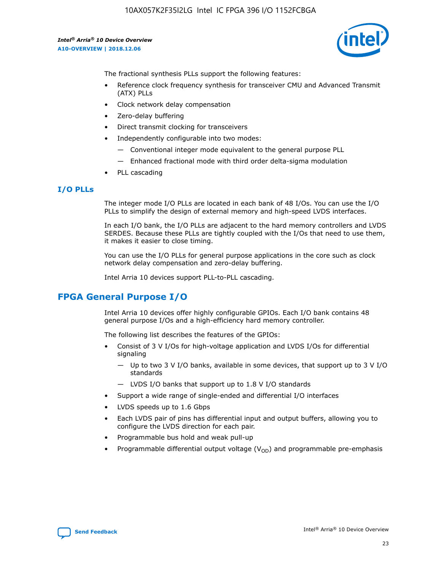

The fractional synthesis PLLs support the following features:

- Reference clock frequency synthesis for transceiver CMU and Advanced Transmit (ATX) PLLs
- Clock network delay compensation
- Zero-delay buffering
- Direct transmit clocking for transceivers
- Independently configurable into two modes:
	- Conventional integer mode equivalent to the general purpose PLL
	- Enhanced fractional mode with third order delta-sigma modulation
- PLL cascading

## **I/O PLLs**

The integer mode I/O PLLs are located in each bank of 48 I/Os. You can use the I/O PLLs to simplify the design of external memory and high-speed LVDS interfaces.

In each I/O bank, the I/O PLLs are adjacent to the hard memory controllers and LVDS SERDES. Because these PLLs are tightly coupled with the I/Os that need to use them, it makes it easier to close timing.

You can use the I/O PLLs for general purpose applications in the core such as clock network delay compensation and zero-delay buffering.

Intel Arria 10 devices support PLL-to-PLL cascading.

# **FPGA General Purpose I/O**

Intel Arria 10 devices offer highly configurable GPIOs. Each I/O bank contains 48 general purpose I/Os and a high-efficiency hard memory controller.

The following list describes the features of the GPIOs:

- Consist of 3 V I/Os for high-voltage application and LVDS I/Os for differential signaling
	- Up to two 3 V I/O banks, available in some devices, that support up to 3 V I/O standards
	- LVDS I/O banks that support up to 1.8 V I/O standards
- Support a wide range of single-ended and differential I/O interfaces
- LVDS speeds up to 1.6 Gbps
- Each LVDS pair of pins has differential input and output buffers, allowing you to configure the LVDS direction for each pair.
- Programmable bus hold and weak pull-up
- Programmable differential output voltage  $(V_{OD})$  and programmable pre-emphasis

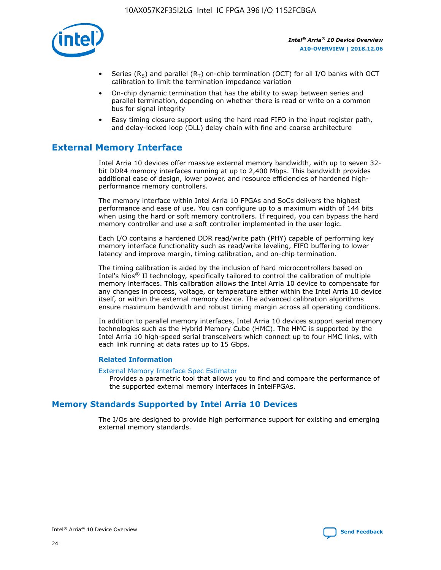

- Series (R<sub>S</sub>) and parallel (R<sub>T</sub>) on-chip termination (OCT) for all I/O banks with OCT calibration to limit the termination impedance variation
- On-chip dynamic termination that has the ability to swap between series and parallel termination, depending on whether there is read or write on a common bus for signal integrity
- Easy timing closure support using the hard read FIFO in the input register path, and delay-locked loop (DLL) delay chain with fine and coarse architecture

# **External Memory Interface**

Intel Arria 10 devices offer massive external memory bandwidth, with up to seven 32 bit DDR4 memory interfaces running at up to 2,400 Mbps. This bandwidth provides additional ease of design, lower power, and resource efficiencies of hardened highperformance memory controllers.

The memory interface within Intel Arria 10 FPGAs and SoCs delivers the highest performance and ease of use. You can configure up to a maximum width of 144 bits when using the hard or soft memory controllers. If required, you can bypass the hard memory controller and use a soft controller implemented in the user logic.

Each I/O contains a hardened DDR read/write path (PHY) capable of performing key memory interface functionality such as read/write leveling, FIFO buffering to lower latency and improve margin, timing calibration, and on-chip termination.

The timing calibration is aided by the inclusion of hard microcontrollers based on Intel's Nios® II technology, specifically tailored to control the calibration of multiple memory interfaces. This calibration allows the Intel Arria 10 device to compensate for any changes in process, voltage, or temperature either within the Intel Arria 10 device itself, or within the external memory device. The advanced calibration algorithms ensure maximum bandwidth and robust timing margin across all operating conditions.

In addition to parallel memory interfaces, Intel Arria 10 devices support serial memory technologies such as the Hybrid Memory Cube (HMC). The HMC is supported by the Intel Arria 10 high-speed serial transceivers which connect up to four HMC links, with each link running at data rates up to 15 Gbps.

#### **Related Information**

#### [External Memory Interface Spec Estimator](http://www.altera.com/technology/memory/estimator/mem-emif-index.html)

Provides a parametric tool that allows you to find and compare the performance of the supported external memory interfaces in IntelFPGAs.

# **Memory Standards Supported by Intel Arria 10 Devices**

The I/Os are designed to provide high performance support for existing and emerging external memory standards.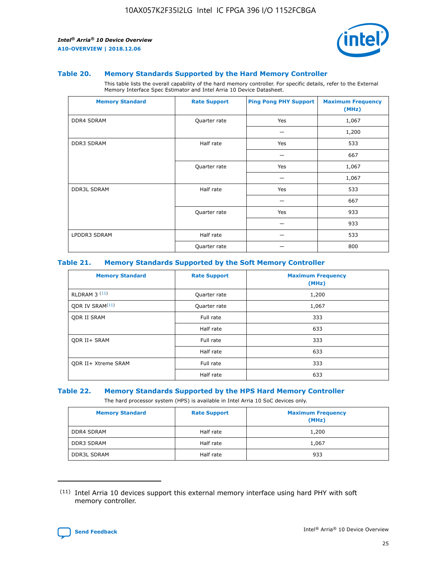

#### **Table 20. Memory Standards Supported by the Hard Memory Controller**

This table lists the overall capability of the hard memory controller. For specific details, refer to the External Memory Interface Spec Estimator and Intel Arria 10 Device Datasheet.

| <b>Memory Standard</b> | <b>Rate Support</b> | <b>Ping Pong PHY Support</b> | <b>Maximum Frequency</b><br>(MHz) |
|------------------------|---------------------|------------------------------|-----------------------------------|
| <b>DDR4 SDRAM</b>      | Quarter rate        | Yes                          | 1,067                             |
|                        |                     |                              | 1,200                             |
| DDR3 SDRAM             | Half rate           | Yes                          | 533                               |
|                        |                     |                              | 667                               |
|                        | Quarter rate        | Yes                          | 1,067                             |
|                        |                     |                              | 1,067                             |
| <b>DDR3L SDRAM</b>     | Half rate           | Yes                          | 533                               |
|                        |                     |                              | 667                               |
|                        | Quarter rate        | Yes                          | 933                               |
|                        |                     |                              | 933                               |
| LPDDR3 SDRAM           | Half rate           |                              | 533                               |
|                        | Quarter rate        |                              | 800                               |

#### **Table 21. Memory Standards Supported by the Soft Memory Controller**

| <b>Memory Standard</b>      | <b>Rate Support</b> | <b>Maximum Frequency</b><br>(MHz) |
|-----------------------------|---------------------|-----------------------------------|
| <b>RLDRAM 3 (11)</b>        | Quarter rate        | 1,200                             |
| ODR IV SRAM <sup>(11)</sup> | Quarter rate        | 1,067                             |
| <b>ODR II SRAM</b>          | Full rate           | 333                               |
|                             | Half rate           | 633                               |
| <b>ODR II+ SRAM</b>         | Full rate           | 333                               |
|                             | Half rate           | 633                               |
| <b>ODR II+ Xtreme SRAM</b>  | Full rate           | 333                               |
|                             | Half rate           | 633                               |

#### **Table 22. Memory Standards Supported by the HPS Hard Memory Controller**

The hard processor system (HPS) is available in Intel Arria 10 SoC devices only.

| <b>Memory Standard</b> | <b>Rate Support</b> | <b>Maximum Frequency</b><br>(MHz) |
|------------------------|---------------------|-----------------------------------|
| <b>DDR4 SDRAM</b>      | Half rate           | 1,200                             |
| <b>DDR3 SDRAM</b>      | Half rate           | 1,067                             |
| <b>DDR3L SDRAM</b>     | Half rate           | 933                               |

<sup>(11)</sup> Intel Arria 10 devices support this external memory interface using hard PHY with soft memory controller.

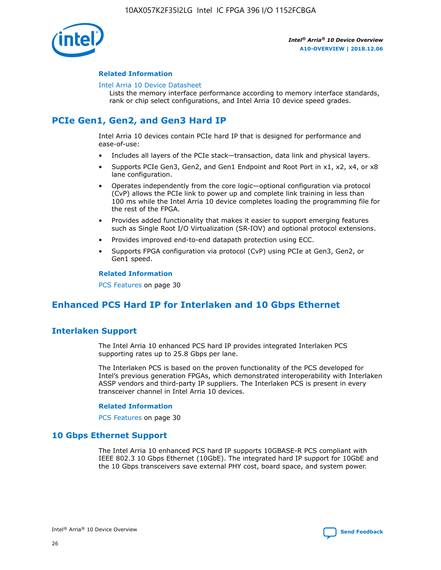

#### **Related Information**

#### [Intel Arria 10 Device Datasheet](https://www.intel.com/content/www/us/en/programmable/documentation/mcn1413182292568.html#mcn1413182153340)

Lists the memory interface performance according to memory interface standards, rank or chip select configurations, and Intel Arria 10 device speed grades.

# **PCIe Gen1, Gen2, and Gen3 Hard IP**

Intel Arria 10 devices contain PCIe hard IP that is designed for performance and ease-of-use:

- Includes all layers of the PCIe stack—transaction, data link and physical layers.
- Supports PCIe Gen3, Gen2, and Gen1 Endpoint and Root Port in x1, x2, x4, or x8 lane configuration.
- Operates independently from the core logic—optional configuration via protocol (CvP) allows the PCIe link to power up and complete link training in less than 100 ms while the Intel Arria 10 device completes loading the programming file for the rest of the FPGA.
- Provides added functionality that makes it easier to support emerging features such as Single Root I/O Virtualization (SR-IOV) and optional protocol extensions.
- Provides improved end-to-end datapath protection using ECC.
- Supports FPGA configuration via protocol (CvP) using PCIe at Gen3, Gen2, or Gen1 speed.

#### **Related Information**

PCS Features on page 30

# **Enhanced PCS Hard IP for Interlaken and 10 Gbps Ethernet**

# **Interlaken Support**

The Intel Arria 10 enhanced PCS hard IP provides integrated Interlaken PCS supporting rates up to 25.8 Gbps per lane.

The Interlaken PCS is based on the proven functionality of the PCS developed for Intel's previous generation FPGAs, which demonstrated interoperability with Interlaken ASSP vendors and third-party IP suppliers. The Interlaken PCS is present in every transceiver channel in Intel Arria 10 devices.

#### **Related Information**

PCS Features on page 30

## **10 Gbps Ethernet Support**

The Intel Arria 10 enhanced PCS hard IP supports 10GBASE-R PCS compliant with IEEE 802.3 10 Gbps Ethernet (10GbE). The integrated hard IP support for 10GbE and the 10 Gbps transceivers save external PHY cost, board space, and system power.

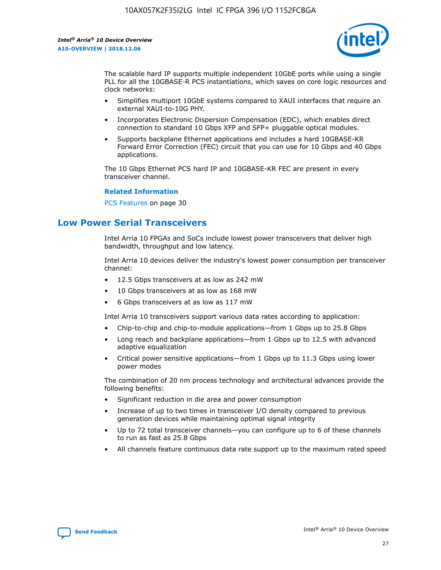

The scalable hard IP supports multiple independent 10GbE ports while using a single PLL for all the 10GBASE-R PCS instantiations, which saves on core logic resources and clock networks:

- Simplifies multiport 10GbE systems compared to XAUI interfaces that require an external XAUI-to-10G PHY.
- Incorporates Electronic Dispersion Compensation (EDC), which enables direct connection to standard 10 Gbps XFP and SFP+ pluggable optical modules.
- Supports backplane Ethernet applications and includes a hard 10GBASE-KR Forward Error Correction (FEC) circuit that you can use for 10 Gbps and 40 Gbps applications.

The 10 Gbps Ethernet PCS hard IP and 10GBASE-KR FEC are present in every transceiver channel.

#### **Related Information**

PCS Features on page 30

# **Low Power Serial Transceivers**

Intel Arria 10 FPGAs and SoCs include lowest power transceivers that deliver high bandwidth, throughput and low latency.

Intel Arria 10 devices deliver the industry's lowest power consumption per transceiver channel:

- 12.5 Gbps transceivers at as low as 242 mW
- 10 Gbps transceivers at as low as 168 mW
- 6 Gbps transceivers at as low as 117 mW

Intel Arria 10 transceivers support various data rates according to application:

- Chip-to-chip and chip-to-module applications—from 1 Gbps up to 25.8 Gbps
- Long reach and backplane applications—from 1 Gbps up to 12.5 with advanced adaptive equalization
- Critical power sensitive applications—from 1 Gbps up to 11.3 Gbps using lower power modes

The combination of 20 nm process technology and architectural advances provide the following benefits:

- Significant reduction in die area and power consumption
- Increase of up to two times in transceiver I/O density compared to previous generation devices while maintaining optimal signal integrity
- Up to 72 total transceiver channels—you can configure up to 6 of these channels to run as fast as 25.8 Gbps
- All channels feature continuous data rate support up to the maximum rated speed

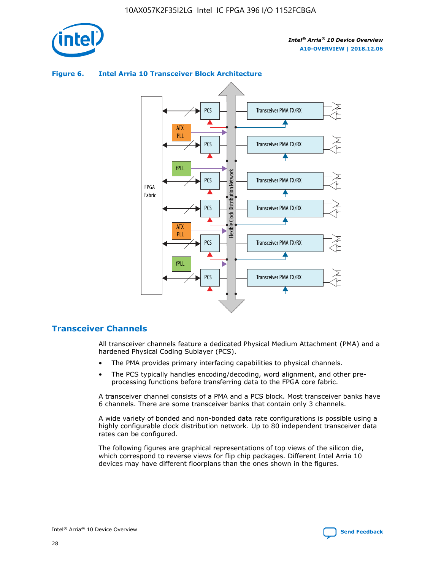



## **Figure 6. Intel Arria 10 Transceiver Block Architecture**

# **Transceiver Channels**

All transceiver channels feature a dedicated Physical Medium Attachment (PMA) and a hardened Physical Coding Sublayer (PCS).

- The PMA provides primary interfacing capabilities to physical channels.
- The PCS typically handles encoding/decoding, word alignment, and other preprocessing functions before transferring data to the FPGA core fabric.

A transceiver channel consists of a PMA and a PCS block. Most transceiver banks have 6 channels. There are some transceiver banks that contain only 3 channels.

A wide variety of bonded and non-bonded data rate configurations is possible using a highly configurable clock distribution network. Up to 80 independent transceiver data rates can be configured.

The following figures are graphical representations of top views of the silicon die, which correspond to reverse views for flip chip packages. Different Intel Arria 10 devices may have different floorplans than the ones shown in the figures.

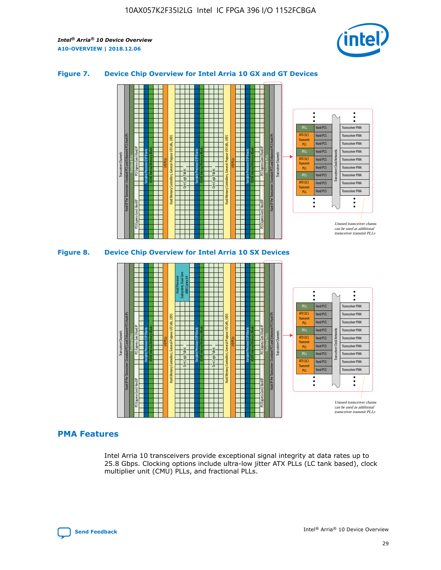

## **Figure 7. Device Chip Overview for Intel Arria 10 GX and GT Devices**



M20K Internal Memory Blocks Core Logic Fabric Transceiver Channels Hard IP Per Transceiver: Standard PCS and Enhanced PCS Hard IPs PCI Express Gen3 Hard IP Fractional PLLs M20K Internal Memory Blocks PCI Express Gen3 Hard IP Variable Precision DSP Blocks I/O PLLs Hard Memory Controllers, General-Purpose I/O Cells, LVDS Hard Processor Subsystem, Dual-Core ARM Cortex A9 M20K Internal Memory Blocks Variable Precision DSP Blocks M20K Internal Memory Blocks Core Logic Fabric I/O PLLs Hard Memory Controllers, General-Purpose I/O Cells, LVDS M20K Internal Memory Blocks Variable Precision DSP Blocks M20K Internal Memory Blocks Transceiver Channels Hard IP Per Transceiver: Standard PCS and Enhanced PCS Hard IPs PCI Express Gen3 Hard IP Fractional PLLs PCI Express Gen3 Hard IP  $\ddot{\cdot}$ Hard PCS Transceiver PMA fPLL ATX (LC) Hard PCS Transceiver PMA **Transmit** Hard PCS Transceiver PMA PLL fPLL Hard PCS Transceiver PMA Transceiver Clock Networks ATX (LC) Hard PCS Transceiver PMA Transmi Hard PCS Transceiver PMA PLL fPLL Hard PCS Transceiver PMA Transceiver PMA Hard PCS ATX (LC) **Transmit** Hard PCS Transceiver PMA PLL Unused transceiver chann can be used as additional transceiver transmit PLLs

## **PMA Features**

Intel Arria 10 transceivers provide exceptional signal integrity at data rates up to 25.8 Gbps. Clocking options include ultra-low jitter ATX PLLs (LC tank based), clock multiplier unit (CMU) PLLs, and fractional PLLs.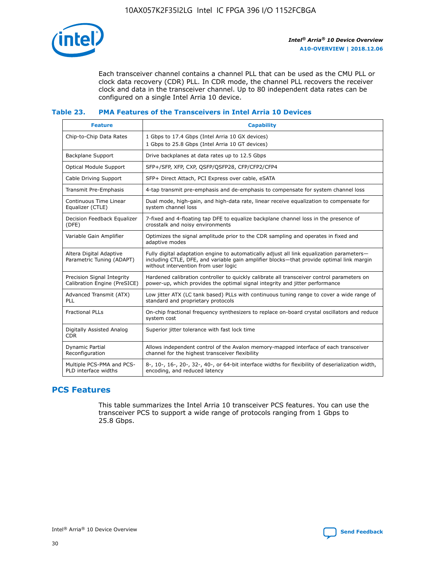

Each transceiver channel contains a channel PLL that can be used as the CMU PLL or clock data recovery (CDR) PLL. In CDR mode, the channel PLL recovers the receiver clock and data in the transceiver channel. Up to 80 independent data rates can be configured on a single Intel Arria 10 device.

# **Table 23. PMA Features of the Transceivers in Intel Arria 10 Devices**

| <b>Feature</b>                                             | <b>Capability</b>                                                                                                                                                                                                             |
|------------------------------------------------------------|-------------------------------------------------------------------------------------------------------------------------------------------------------------------------------------------------------------------------------|
| Chip-to-Chip Data Rates                                    | 1 Gbps to 17.4 Gbps (Intel Arria 10 GX devices)<br>1 Gbps to 25.8 Gbps (Intel Arria 10 GT devices)                                                                                                                            |
| Backplane Support                                          | Drive backplanes at data rates up to 12.5 Gbps                                                                                                                                                                                |
| <b>Optical Module Support</b>                              | SFP+/SFP, XFP, CXP, QSFP/QSFP28, CFP/CFP2/CFP4                                                                                                                                                                                |
| Cable Driving Support                                      | SFP+ Direct Attach, PCI Express over cable, eSATA                                                                                                                                                                             |
| Transmit Pre-Emphasis                                      | 4-tap transmit pre-emphasis and de-emphasis to compensate for system channel loss                                                                                                                                             |
| Continuous Time Linear<br>Equalizer (CTLE)                 | Dual mode, high-gain, and high-data rate, linear receive equalization to compensate for<br>system channel loss                                                                                                                |
| Decision Feedback Equalizer<br>(DFE)                       | 7-fixed and 4-floating tap DFE to equalize backplane channel loss in the presence of<br>crosstalk and noisy environments                                                                                                      |
| Variable Gain Amplifier                                    | Optimizes the signal amplitude prior to the CDR sampling and operates in fixed and<br>adaptive modes                                                                                                                          |
| Altera Digital Adaptive<br>Parametric Tuning (ADAPT)       | Fully digital adaptation engine to automatically adjust all link equalization parameters-<br>including CTLE, DFE, and variable gain amplifier blocks—that provide optimal link margin<br>without intervention from user logic |
| Precision Signal Integrity<br>Calibration Engine (PreSICE) | Hardened calibration controller to quickly calibrate all transceiver control parameters on<br>power-up, which provides the optimal signal integrity and jitter performance                                                    |
| Advanced Transmit (ATX)<br>PLL                             | Low jitter ATX (LC tank based) PLLs with continuous tuning range to cover a wide range of<br>standard and proprietary protocols                                                                                               |
| <b>Fractional PLLs</b>                                     | On-chip fractional frequency synthesizers to replace on-board crystal oscillators and reduce<br>system cost                                                                                                                   |
| Digitally Assisted Analog<br><b>CDR</b>                    | Superior jitter tolerance with fast lock time                                                                                                                                                                                 |
| Dynamic Partial<br>Reconfiguration                         | Allows independent control of the Avalon memory-mapped interface of each transceiver<br>channel for the highest transceiver flexibility                                                                                       |
| Multiple PCS-PMA and PCS-<br>PLD interface widths          | 8-, 10-, 16-, 20-, 32-, 40-, or 64-bit interface widths for flexibility of deserialization width,<br>encoding, and reduced latency                                                                                            |

# **PCS Features**

This table summarizes the Intel Arria 10 transceiver PCS features. You can use the transceiver PCS to support a wide range of protocols ranging from 1 Gbps to 25.8 Gbps.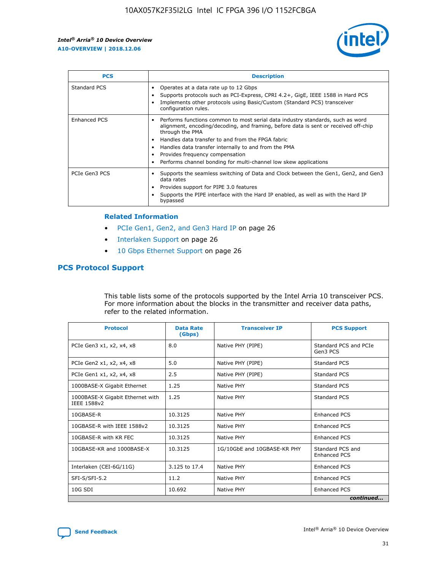

| <b>PCS</b>    | <b>Description</b>                                                                                                                                                                                                                                                                                                                                                                                             |
|---------------|----------------------------------------------------------------------------------------------------------------------------------------------------------------------------------------------------------------------------------------------------------------------------------------------------------------------------------------------------------------------------------------------------------------|
| Standard PCS  | Operates at a data rate up to 12 Gbps<br>Supports protocols such as PCI-Express, CPRI 4.2+, GigE, IEEE 1588 in Hard PCS<br>Implements other protocols using Basic/Custom (Standard PCS) transceiver<br>configuration rules.                                                                                                                                                                                    |
| Enhanced PCS  | Performs functions common to most serial data industry standards, such as word<br>alignment, encoding/decoding, and framing, before data is sent or received off-chip<br>through the PMA<br>• Handles data transfer to and from the FPGA fabric<br>Handles data transfer internally to and from the PMA<br>Provides frequency compensation<br>Performs channel bonding for multi-channel low skew applications |
| PCIe Gen3 PCS | Supports the seamless switching of Data and Clock between the Gen1, Gen2, and Gen3<br>data rates<br>Provides support for PIPE 3.0 features<br>Supports the PIPE interface with the Hard IP enabled, as well as with the Hard IP<br>bypassed                                                                                                                                                                    |

#### **Related Information**

- PCIe Gen1, Gen2, and Gen3 Hard IP on page 26
- Interlaken Support on page 26
- 10 Gbps Ethernet Support on page 26

# **PCS Protocol Support**

This table lists some of the protocols supported by the Intel Arria 10 transceiver PCS. For more information about the blocks in the transmitter and receiver data paths, refer to the related information.

| <b>Protocol</b>                                 | <b>Data Rate</b><br>(Gbps) | <b>Transceiver IP</b>       | <b>PCS Support</b>                      |
|-------------------------------------------------|----------------------------|-----------------------------|-----------------------------------------|
| PCIe Gen3 x1, x2, x4, x8                        | 8.0                        | Native PHY (PIPE)           | Standard PCS and PCIe<br>Gen3 PCS       |
| PCIe Gen2 x1, x2, x4, x8                        | 5.0                        | Native PHY (PIPE)           | <b>Standard PCS</b>                     |
| PCIe Gen1 x1, x2, x4, x8                        | 2.5                        | Native PHY (PIPE)           | Standard PCS                            |
| 1000BASE-X Gigabit Ethernet                     | 1.25                       | Native PHY                  | <b>Standard PCS</b>                     |
| 1000BASE-X Gigabit Ethernet with<br>IEEE 1588v2 | 1.25                       | Native PHY                  | Standard PCS                            |
| 10GBASE-R                                       | 10.3125                    | Native PHY                  | <b>Enhanced PCS</b>                     |
| 10GBASE-R with IEEE 1588v2                      | 10.3125                    | Native PHY                  | <b>Enhanced PCS</b>                     |
| 10GBASE-R with KR FEC                           | 10.3125                    | Native PHY                  | <b>Enhanced PCS</b>                     |
| 10GBASE-KR and 1000BASE-X                       | 10.3125                    | 1G/10GbE and 10GBASE-KR PHY | Standard PCS and<br><b>Enhanced PCS</b> |
| Interlaken (CEI-6G/11G)                         | 3.125 to 17.4              | Native PHY                  | <b>Enhanced PCS</b>                     |
| SFI-S/SFI-5.2                                   | 11.2                       | Native PHY                  | <b>Enhanced PCS</b>                     |
| $10G$ SDI                                       | 10.692                     | Native PHY                  | <b>Enhanced PCS</b>                     |
|                                                 |                            |                             | continued                               |

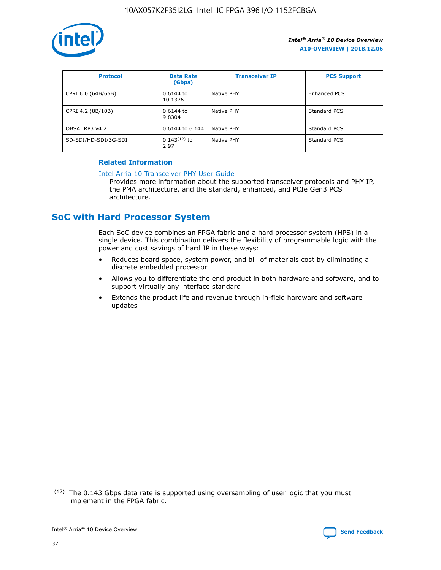

| <b>Protocol</b>      | <b>Data Rate</b><br>(Gbps) | <b>Transceiver IP</b> | <b>PCS Support</b> |
|----------------------|----------------------------|-----------------------|--------------------|
| CPRI 6.0 (64B/66B)   | 0.6144 to<br>10.1376       | Native PHY            | Enhanced PCS       |
| CPRI 4.2 (8B/10B)    | 0.6144 to<br>9.8304        | Native PHY            | Standard PCS       |
| OBSAI RP3 v4.2       | 0.6144 to 6.144            | Native PHY            | Standard PCS       |
| SD-SDI/HD-SDI/3G-SDI | $0.143(12)$ to<br>2.97     | Native PHY            | Standard PCS       |

### **Related Information**

#### [Intel Arria 10 Transceiver PHY User Guide](https://www.intel.com/content/www/us/en/programmable/documentation/nik1398707230472.html#nik1398707091164)

Provides more information about the supported transceiver protocols and PHY IP, the PMA architecture, and the standard, enhanced, and PCIe Gen3 PCS architecture.

# **SoC with Hard Processor System**

Each SoC device combines an FPGA fabric and a hard processor system (HPS) in a single device. This combination delivers the flexibility of programmable logic with the power and cost savings of hard IP in these ways:

- Reduces board space, system power, and bill of materials cost by eliminating a discrete embedded processor
- Allows you to differentiate the end product in both hardware and software, and to support virtually any interface standard
- Extends the product life and revenue through in-field hardware and software updates

 $(12)$  The 0.143 Gbps data rate is supported using oversampling of user logic that you must implement in the FPGA fabric.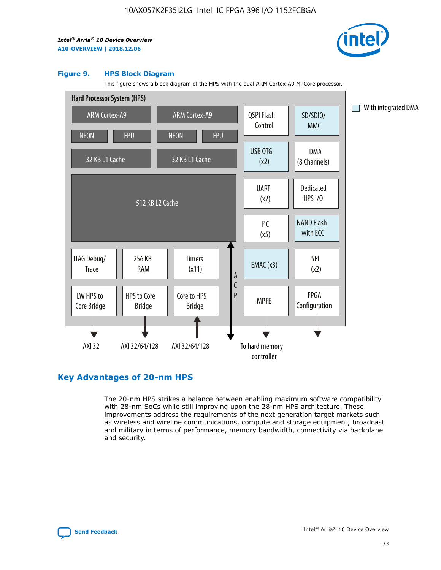

#### **Figure 9. HPS Block Diagram**

This figure shows a block diagram of the HPS with the dual ARM Cortex-A9 MPCore processor.



# **Key Advantages of 20-nm HPS**

The 20-nm HPS strikes a balance between enabling maximum software compatibility with 28-nm SoCs while still improving upon the 28-nm HPS architecture. These improvements address the requirements of the next generation target markets such as wireless and wireline communications, compute and storage equipment, broadcast and military in terms of performance, memory bandwidth, connectivity via backplane and security.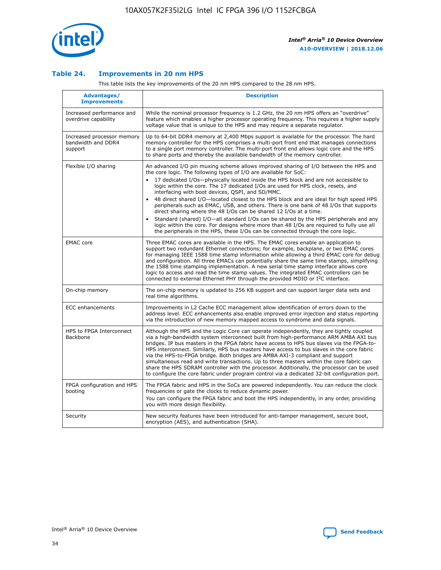

## **Table 24. Improvements in 20 nm HPS**

This table lists the key improvements of the 20 nm HPS compared to the 28 nm HPS.

| Advantages/<br><b>Improvements</b>                          | <b>Description</b>                                                                                                                                                                                                                                                                                                                                                                                                                                                                                                                                                                                                                                                                                                                                                                                                                                                                                                      |
|-------------------------------------------------------------|-------------------------------------------------------------------------------------------------------------------------------------------------------------------------------------------------------------------------------------------------------------------------------------------------------------------------------------------------------------------------------------------------------------------------------------------------------------------------------------------------------------------------------------------------------------------------------------------------------------------------------------------------------------------------------------------------------------------------------------------------------------------------------------------------------------------------------------------------------------------------------------------------------------------------|
| Increased performance and<br>overdrive capability           | While the nominal processor frequency is 1.2 GHz, the 20 nm HPS offers an "overdrive"<br>feature which enables a higher processor operating frequency. This requires a higher supply<br>voltage value that is unique to the HPS and may require a separate regulator.                                                                                                                                                                                                                                                                                                                                                                                                                                                                                                                                                                                                                                                   |
| Increased processor memory<br>bandwidth and DDR4<br>support | Up to 64-bit DDR4 memory at 2,400 Mbps support is available for the processor. The hard<br>memory controller for the HPS comprises a multi-port front end that manages connections<br>to a single port memory controller. The multi-port front end allows logic core and the HPS<br>to share ports and thereby the available bandwidth of the memory controller.                                                                                                                                                                                                                                                                                                                                                                                                                                                                                                                                                        |
| Flexible I/O sharing                                        | An advanced I/O pin muxing scheme allows improved sharing of I/O between the HPS and<br>the core logic. The following types of I/O are available for SoC:<br>17 dedicated I/Os-physically located inside the HPS block and are not accessible to<br>logic within the core. The 17 dedicated I/Os are used for HPS clock, resets, and<br>interfacing with boot devices, QSPI, and SD/MMC.<br>48 direct shared I/O-located closest to the HPS block and are ideal for high speed HPS<br>peripherals such as EMAC, USB, and others. There is one bank of 48 I/Os that supports<br>direct sharing where the 48 I/Os can be shared 12 I/Os at a time.<br>Standard (shared) I/O-all standard I/Os can be shared by the HPS peripherals and any<br>logic within the core. For designs where more than 48 I/Os are reguired to fully use all<br>the peripherals in the HPS, these I/Os can be connected through the core logic. |
| <b>EMAC</b> core                                            | Three EMAC cores are available in the HPS. The EMAC cores enable an application to<br>support two redundant Ethernet connections; for example, backplane, or two EMAC cores<br>for managing IEEE 1588 time stamp information while allowing a third EMAC core for debug<br>and configuration. All three EMACs can potentially share the same time stamps, simplifying<br>the 1588 time stamping implementation. A new serial time stamp interface allows core<br>logic to access and read the time stamp values. The integrated EMAC controllers can be<br>connected to external Ethernet PHY through the provided MDIO or I <sup>2</sup> C interface.                                                                                                                                                                                                                                                                  |
| On-chip memory                                              | The on-chip memory is updated to 256 KB support and can support larger data sets and<br>real time algorithms.                                                                                                                                                                                                                                                                                                                                                                                                                                                                                                                                                                                                                                                                                                                                                                                                           |
| <b>ECC</b> enhancements                                     | Improvements in L2 Cache ECC management allow identification of errors down to the<br>address level. ECC enhancements also enable improved error injection and status reporting<br>via the introduction of new memory mapped access to syndrome and data signals.                                                                                                                                                                                                                                                                                                                                                                                                                                                                                                                                                                                                                                                       |
| HPS to FPGA Interconnect<br>Backbone                        | Although the HPS and the Logic Core can operate independently, they are tightly coupled<br>via a high-bandwidth system interconnect built from high-performance ARM AMBA AXI bus<br>bridges. IP bus masters in the FPGA fabric have access to HPS bus slaves via the FPGA-to-<br>HPS interconnect. Similarly, HPS bus masters have access to bus slaves in the core fabric<br>via the HPS-to-FPGA bridge. Both bridges are AMBA AXI-3 compliant and support<br>simultaneous read and write transactions. Up to three masters within the core fabric can<br>share the HPS SDRAM controller with the processor. Additionally, the processor can be used<br>to configure the core fabric under program control via a dedicated 32-bit configuration port.                                                                                                                                                                  |
| FPGA configuration and HPS<br>booting                       | The FPGA fabric and HPS in the SoCs are powered independently. You can reduce the clock<br>frequencies or gate the clocks to reduce dynamic power.<br>You can configure the FPGA fabric and boot the HPS independently, in any order, providing<br>you with more design flexibility.                                                                                                                                                                                                                                                                                                                                                                                                                                                                                                                                                                                                                                    |
| Security                                                    | New security features have been introduced for anti-tamper management, secure boot,<br>encryption (AES), and authentication (SHA).                                                                                                                                                                                                                                                                                                                                                                                                                                                                                                                                                                                                                                                                                                                                                                                      |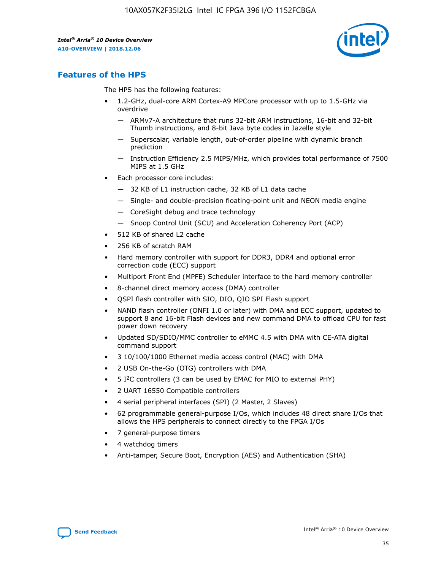

# **Features of the HPS**

The HPS has the following features:

- 1.2-GHz, dual-core ARM Cortex-A9 MPCore processor with up to 1.5-GHz via overdrive
	- ARMv7-A architecture that runs 32-bit ARM instructions, 16-bit and 32-bit Thumb instructions, and 8-bit Java byte codes in Jazelle style
	- Superscalar, variable length, out-of-order pipeline with dynamic branch prediction
	- Instruction Efficiency 2.5 MIPS/MHz, which provides total performance of 7500 MIPS at 1.5 GHz
- Each processor core includes:
	- 32 KB of L1 instruction cache, 32 KB of L1 data cache
	- Single- and double-precision floating-point unit and NEON media engine
	- CoreSight debug and trace technology
	- Snoop Control Unit (SCU) and Acceleration Coherency Port (ACP)
- 512 KB of shared L2 cache
- 256 KB of scratch RAM
- Hard memory controller with support for DDR3, DDR4 and optional error correction code (ECC) support
- Multiport Front End (MPFE) Scheduler interface to the hard memory controller
- 8-channel direct memory access (DMA) controller
- QSPI flash controller with SIO, DIO, QIO SPI Flash support
- NAND flash controller (ONFI 1.0 or later) with DMA and ECC support, updated to support 8 and 16-bit Flash devices and new command DMA to offload CPU for fast power down recovery
- Updated SD/SDIO/MMC controller to eMMC 4.5 with DMA with CE-ATA digital command support
- 3 10/100/1000 Ethernet media access control (MAC) with DMA
- 2 USB On-the-Go (OTG) controllers with DMA
- $\bullet$  5 I<sup>2</sup>C controllers (3 can be used by EMAC for MIO to external PHY)
- 2 UART 16550 Compatible controllers
- 4 serial peripheral interfaces (SPI) (2 Master, 2 Slaves)
- 62 programmable general-purpose I/Os, which includes 48 direct share I/Os that allows the HPS peripherals to connect directly to the FPGA I/Os
- 7 general-purpose timers
- 4 watchdog timers
- Anti-tamper, Secure Boot, Encryption (AES) and Authentication (SHA)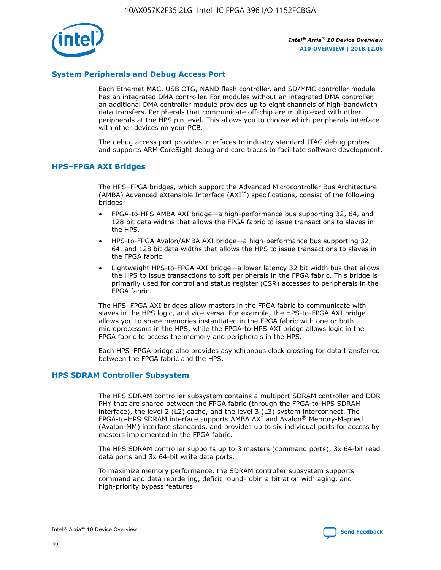

## **System Peripherals and Debug Access Port**

Each Ethernet MAC, USB OTG, NAND flash controller, and SD/MMC controller module has an integrated DMA controller. For modules without an integrated DMA controller, an additional DMA controller module provides up to eight channels of high-bandwidth data transfers. Peripherals that communicate off-chip are multiplexed with other peripherals at the HPS pin level. This allows you to choose which peripherals interface with other devices on your PCB.

The debug access port provides interfaces to industry standard JTAG debug probes and supports ARM CoreSight debug and core traces to facilitate software development.

#### **HPS–FPGA AXI Bridges**

The HPS–FPGA bridges, which support the Advanced Microcontroller Bus Architecture (AMBA) Advanced eXtensible Interface (AXI™) specifications, consist of the following bridges:

- FPGA-to-HPS AMBA AXI bridge—a high-performance bus supporting 32, 64, and 128 bit data widths that allows the FPGA fabric to issue transactions to slaves in the HPS.
- HPS-to-FPGA Avalon/AMBA AXI bridge—a high-performance bus supporting 32, 64, and 128 bit data widths that allows the HPS to issue transactions to slaves in the FPGA fabric.
- Lightweight HPS-to-FPGA AXI bridge—a lower latency 32 bit width bus that allows the HPS to issue transactions to soft peripherals in the FPGA fabric. This bridge is primarily used for control and status register (CSR) accesses to peripherals in the FPGA fabric.

The HPS–FPGA AXI bridges allow masters in the FPGA fabric to communicate with slaves in the HPS logic, and vice versa. For example, the HPS-to-FPGA AXI bridge allows you to share memories instantiated in the FPGA fabric with one or both microprocessors in the HPS, while the FPGA-to-HPS AXI bridge allows logic in the FPGA fabric to access the memory and peripherals in the HPS.

Each HPS–FPGA bridge also provides asynchronous clock crossing for data transferred between the FPGA fabric and the HPS.

#### **HPS SDRAM Controller Subsystem**

The HPS SDRAM controller subsystem contains a multiport SDRAM controller and DDR PHY that are shared between the FPGA fabric (through the FPGA-to-HPS SDRAM interface), the level 2 (L2) cache, and the level 3 (L3) system interconnect. The FPGA-to-HPS SDRAM interface supports AMBA AXI and Avalon® Memory-Mapped (Avalon-MM) interface standards, and provides up to six individual ports for access by masters implemented in the FPGA fabric.

The HPS SDRAM controller supports up to 3 masters (command ports), 3x 64-bit read data ports and 3x 64-bit write data ports.

To maximize memory performance, the SDRAM controller subsystem supports command and data reordering, deficit round-robin arbitration with aging, and high-priority bypass features.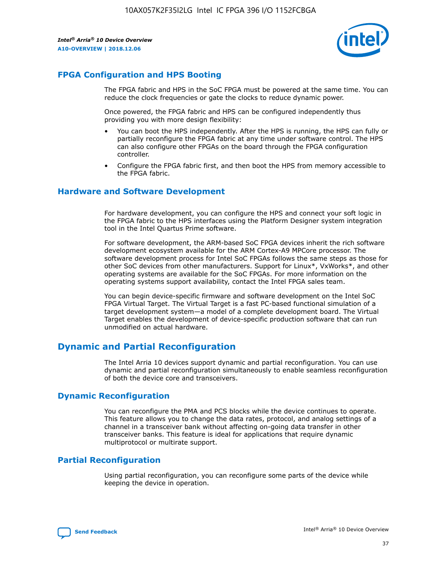

# **FPGA Configuration and HPS Booting**

The FPGA fabric and HPS in the SoC FPGA must be powered at the same time. You can reduce the clock frequencies or gate the clocks to reduce dynamic power.

Once powered, the FPGA fabric and HPS can be configured independently thus providing you with more design flexibility:

- You can boot the HPS independently. After the HPS is running, the HPS can fully or partially reconfigure the FPGA fabric at any time under software control. The HPS can also configure other FPGAs on the board through the FPGA configuration controller.
- Configure the FPGA fabric first, and then boot the HPS from memory accessible to the FPGA fabric.

## **Hardware and Software Development**

For hardware development, you can configure the HPS and connect your soft logic in the FPGA fabric to the HPS interfaces using the Platform Designer system integration tool in the Intel Quartus Prime software.

For software development, the ARM-based SoC FPGA devices inherit the rich software development ecosystem available for the ARM Cortex-A9 MPCore processor. The software development process for Intel SoC FPGAs follows the same steps as those for other SoC devices from other manufacturers. Support for Linux\*, VxWorks\*, and other operating systems are available for the SoC FPGAs. For more information on the operating systems support availability, contact the Intel FPGA sales team.

You can begin device-specific firmware and software development on the Intel SoC FPGA Virtual Target. The Virtual Target is a fast PC-based functional simulation of a target development system—a model of a complete development board. The Virtual Target enables the development of device-specific production software that can run unmodified on actual hardware.

# **Dynamic and Partial Reconfiguration**

The Intel Arria 10 devices support dynamic and partial reconfiguration. You can use dynamic and partial reconfiguration simultaneously to enable seamless reconfiguration of both the device core and transceivers.

# **Dynamic Reconfiguration**

You can reconfigure the PMA and PCS blocks while the device continues to operate. This feature allows you to change the data rates, protocol, and analog settings of a channel in a transceiver bank without affecting on-going data transfer in other transceiver banks. This feature is ideal for applications that require dynamic multiprotocol or multirate support.

# **Partial Reconfiguration**

Using partial reconfiguration, you can reconfigure some parts of the device while keeping the device in operation.

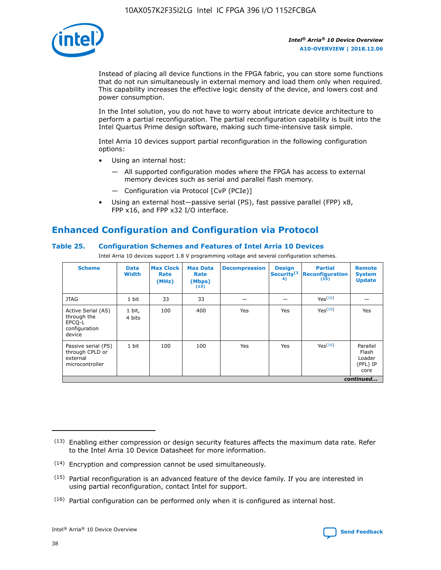

Instead of placing all device functions in the FPGA fabric, you can store some functions that do not run simultaneously in external memory and load them only when required. This capability increases the effective logic density of the device, and lowers cost and power consumption.

In the Intel solution, you do not have to worry about intricate device architecture to perform a partial reconfiguration. The partial reconfiguration capability is built into the Intel Quartus Prime design software, making such time-intensive task simple.

Intel Arria 10 devices support partial reconfiguration in the following configuration options:

- Using an internal host:
	- All supported configuration modes where the FPGA has access to external memory devices such as serial and parallel flash memory.
	- Configuration via Protocol [CvP (PCIe)]
- Using an external host—passive serial (PS), fast passive parallel (FPP) x8, FPP x16, and FPP x32 I/O interface.

# **Enhanced Configuration and Configuration via Protocol**

## **Table 25. Configuration Schemes and Features of Intel Arria 10 Devices**

Intel Arria 10 devices support 1.8 V programming voltage and several configuration schemes.

| <b>Scheme</b>                                                          | <b>Data</b><br><b>Width</b> | <b>Max Clock</b><br>Rate<br>(MHz) | <b>Max Data</b><br>Rate<br>(Mbps)<br>(13) | <b>Decompression</b> | <b>Design</b><br>Security <sup>(1</sup><br>4) | <b>Partial</b><br>Reconfiguration<br>(15) | <b>Remote</b><br><b>System</b><br><b>Update</b> |
|------------------------------------------------------------------------|-----------------------------|-----------------------------------|-------------------------------------------|----------------------|-----------------------------------------------|-------------------------------------------|-------------------------------------------------|
| <b>JTAG</b>                                                            | 1 bit                       | 33                                | 33                                        |                      |                                               | Yes <sup>(16)</sup>                       |                                                 |
| Active Serial (AS)<br>through the<br>EPCO-L<br>configuration<br>device | 1 bit,<br>4 bits            | 100                               | 400                                       | Yes                  | Yes                                           | $Y_{PS}(16)$                              | Yes                                             |
| Passive serial (PS)<br>through CPLD or<br>external<br>microcontroller  | 1 bit                       | 100                               | 100                                       | Yes                  | Yes                                           | Yes(16)                                   | Parallel<br>Flash<br>Loader<br>(PFL) IP<br>core |
|                                                                        |                             |                                   |                                           |                      |                                               |                                           | continued                                       |

<sup>(13)</sup> Enabling either compression or design security features affects the maximum data rate. Refer to the Intel Arria 10 Device Datasheet for more information.

<sup>(14)</sup> Encryption and compression cannot be used simultaneously.

 $(15)$  Partial reconfiguration is an advanced feature of the device family. If you are interested in using partial reconfiguration, contact Intel for support.

 $(16)$  Partial configuration can be performed only when it is configured as internal host.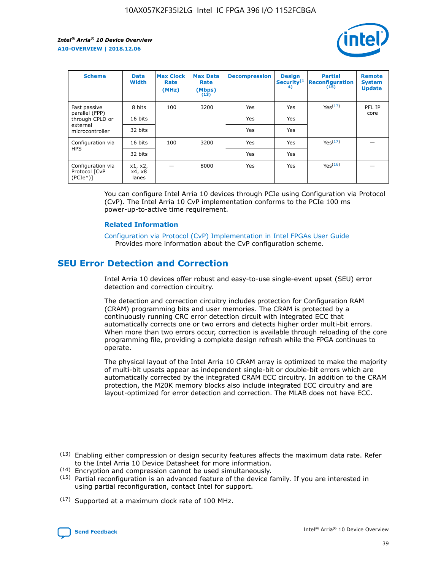

| <b>Scheme</b>                                   | <b>Data</b><br><b>Width</b> | <b>Max Clock</b><br>Rate<br>(MHz) | <b>Max Data</b><br>Rate<br>(Mbps)<br>(13) | <b>Decompression</b> | <b>Design</b><br>Security <sup>(1</sup><br>4) | <b>Partial</b><br><b>Reconfiguration</b><br>(15) | <b>Remote</b><br><b>System</b><br><b>Update</b> |
|-------------------------------------------------|-----------------------------|-----------------------------------|-------------------------------------------|----------------------|-----------------------------------------------|--------------------------------------------------|-------------------------------------------------|
| Fast passive                                    | 8 bits                      | 100                               | 3200                                      | Yes                  | Yes                                           | Yes(17)                                          | PFL IP                                          |
| parallel (FPP)<br>through CPLD or               | 16 bits                     |                                   |                                           | Yes                  | Yes                                           |                                                  | core                                            |
| external<br>microcontroller                     | 32 bits                     |                                   |                                           | Yes                  | Yes                                           |                                                  |                                                 |
| Configuration via                               | 16 bits                     | 100                               | 3200                                      | Yes                  | Yes                                           | Yes <sup>(17)</sup>                              |                                                 |
| <b>HPS</b>                                      | 32 bits                     |                                   |                                           | Yes                  | Yes                                           |                                                  |                                                 |
| Configuration via<br>Protocol [CvP<br>$(PCIe*)$ | x1, x2,<br>x4, x8<br>lanes  |                                   | 8000                                      | Yes                  | Yes                                           | Yes <sup>(16)</sup>                              |                                                 |

You can configure Intel Arria 10 devices through PCIe using Configuration via Protocol (CvP). The Intel Arria 10 CvP implementation conforms to the PCIe 100 ms power-up-to-active time requirement.

#### **Related Information**

[Configuration via Protocol \(CvP\) Implementation in Intel FPGAs User Guide](https://www.intel.com/content/www/us/en/programmable/documentation/dsu1441819344145.html#dsu1442269728522) Provides more information about the CvP configuration scheme.

# **SEU Error Detection and Correction**

Intel Arria 10 devices offer robust and easy-to-use single-event upset (SEU) error detection and correction circuitry.

The detection and correction circuitry includes protection for Configuration RAM (CRAM) programming bits and user memories. The CRAM is protected by a continuously running CRC error detection circuit with integrated ECC that automatically corrects one or two errors and detects higher order multi-bit errors. When more than two errors occur, correction is available through reloading of the core programming file, providing a complete design refresh while the FPGA continues to operate.

The physical layout of the Intel Arria 10 CRAM array is optimized to make the majority of multi-bit upsets appear as independent single-bit or double-bit errors which are automatically corrected by the integrated CRAM ECC circuitry. In addition to the CRAM protection, the M20K memory blocks also include integrated ECC circuitry and are layout-optimized for error detection and correction. The MLAB does not have ECC.

(14) Encryption and compression cannot be used simultaneously.

<sup>(17)</sup> Supported at a maximum clock rate of 100 MHz.



 $(13)$  Enabling either compression or design security features affects the maximum data rate. Refer to the Intel Arria 10 Device Datasheet for more information.

 $(15)$  Partial reconfiguration is an advanced feature of the device family. If you are interested in using partial reconfiguration, contact Intel for support.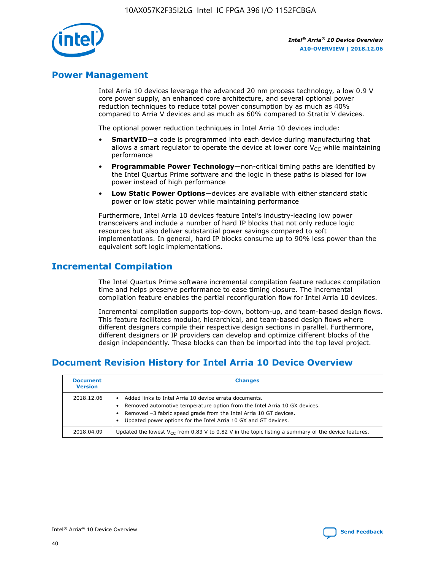

# **Power Management**

Intel Arria 10 devices leverage the advanced 20 nm process technology, a low 0.9 V core power supply, an enhanced core architecture, and several optional power reduction techniques to reduce total power consumption by as much as 40% compared to Arria V devices and as much as 60% compared to Stratix V devices.

The optional power reduction techniques in Intel Arria 10 devices include:

- **SmartVID**—a code is programmed into each device during manufacturing that allows a smart regulator to operate the device at lower core  $V_{CC}$  while maintaining performance
- **Programmable Power Technology**—non-critical timing paths are identified by the Intel Quartus Prime software and the logic in these paths is biased for low power instead of high performance
- **Low Static Power Options**—devices are available with either standard static power or low static power while maintaining performance

Furthermore, Intel Arria 10 devices feature Intel's industry-leading low power transceivers and include a number of hard IP blocks that not only reduce logic resources but also deliver substantial power savings compared to soft implementations. In general, hard IP blocks consume up to 90% less power than the equivalent soft logic implementations.

# **Incremental Compilation**

The Intel Quartus Prime software incremental compilation feature reduces compilation time and helps preserve performance to ease timing closure. The incremental compilation feature enables the partial reconfiguration flow for Intel Arria 10 devices.

Incremental compilation supports top-down, bottom-up, and team-based design flows. This feature facilitates modular, hierarchical, and team-based design flows where different designers compile their respective design sections in parallel. Furthermore, different designers or IP providers can develop and optimize different blocks of the design independently. These blocks can then be imported into the top level project.

# **Document Revision History for Intel Arria 10 Device Overview**

| <b>Document</b><br><b>Version</b> | <b>Changes</b>                                                                                                                                                                                                                                                              |
|-----------------------------------|-----------------------------------------------------------------------------------------------------------------------------------------------------------------------------------------------------------------------------------------------------------------------------|
| 2018.12.06                        | Added links to Intel Arria 10 device errata documents.<br>Removed automotive temperature option from the Intel Arria 10 GX devices.<br>Removed -3 fabric speed grade from the Intel Arria 10 GT devices.<br>Updated power options for the Intel Arria 10 GX and GT devices. |
| 2018.04.09                        | Updated the lowest $V_{CC}$ from 0.83 V to 0.82 V in the topic listing a summary of the device features.                                                                                                                                                                    |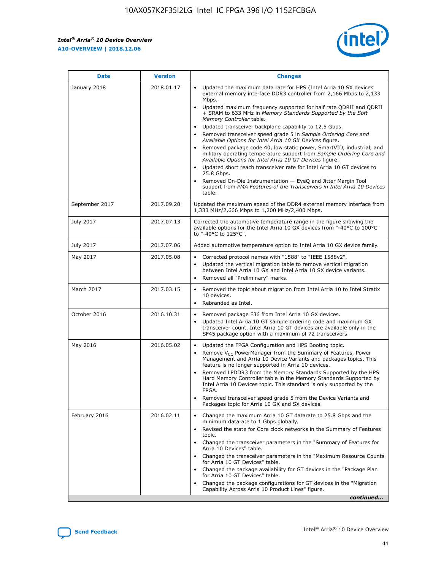

| <b>Date</b>    | <b>Version</b> | <b>Changes</b>                                                                                                                                                                                                                                                                                                                                                                                                                                                                                                                                                                                                                                                                                                                                                                                                                                                                                                                                                            |
|----------------|----------------|---------------------------------------------------------------------------------------------------------------------------------------------------------------------------------------------------------------------------------------------------------------------------------------------------------------------------------------------------------------------------------------------------------------------------------------------------------------------------------------------------------------------------------------------------------------------------------------------------------------------------------------------------------------------------------------------------------------------------------------------------------------------------------------------------------------------------------------------------------------------------------------------------------------------------------------------------------------------------|
| January 2018   | 2018.01.17     | Updated the maximum data rate for HPS (Intel Arria 10 SX devices<br>external memory interface DDR3 controller from 2,166 Mbps to 2,133<br>Mbps.<br>Updated maximum frequency supported for half rate QDRII and QDRII<br>+ SRAM to 633 MHz in Memory Standards Supported by the Soft<br>Memory Controller table.<br>Updated transceiver backplane capability to 12.5 Gbps.<br>$\bullet$<br>Removed transceiver speed grade 5 in Sample Ordering Core and<br>Available Options for Intel Arria 10 GX Devices figure.<br>Removed package code 40, low static power, SmartVID, industrial, and<br>military operating temperature support from Sample Ordering Core and<br>Available Options for Intel Arria 10 GT Devices figure.<br>Updated short reach transceiver rate for Intel Arria 10 GT devices to<br>25.8 Gbps.<br>Removed On-Die Instrumentation - EyeQ and Jitter Margin Tool<br>support from PMA Features of the Transceivers in Intel Arria 10 Devices<br>table. |
| September 2017 | 2017.09.20     | Updated the maximum speed of the DDR4 external memory interface from<br>1,333 MHz/2,666 Mbps to 1,200 MHz/2,400 Mbps.                                                                                                                                                                                                                                                                                                                                                                                                                                                                                                                                                                                                                                                                                                                                                                                                                                                     |
| July 2017      | 2017.07.13     | Corrected the automotive temperature range in the figure showing the<br>available options for the Intel Arria 10 GX devices from "-40°C to 100°C"<br>to "-40°C to 125°C".                                                                                                                                                                                                                                                                                                                                                                                                                                                                                                                                                                                                                                                                                                                                                                                                 |
| July 2017      | 2017.07.06     | Added automotive temperature option to Intel Arria 10 GX device family.                                                                                                                                                                                                                                                                                                                                                                                                                                                                                                                                                                                                                                                                                                                                                                                                                                                                                                   |
| May 2017       | 2017.05.08     | Corrected protocol names with "1588" to "IEEE 1588v2".<br>$\bullet$<br>Updated the vertical migration table to remove vertical migration<br>$\bullet$<br>between Intel Arria 10 GX and Intel Arria 10 SX device variants.<br>Removed all "Preliminary" marks.<br>$\bullet$                                                                                                                                                                                                                                                                                                                                                                                                                                                                                                                                                                                                                                                                                                |
| March 2017     | 2017.03.15     | Removed the topic about migration from Intel Arria 10 to Intel Stratix<br>10 devices.<br>Rebranded as Intel.<br>$\bullet$                                                                                                                                                                                                                                                                                                                                                                                                                                                                                                                                                                                                                                                                                                                                                                                                                                                 |
| October 2016   | 2016.10.31     | Removed package F36 from Intel Arria 10 GX devices.<br>Updated Intel Arria 10 GT sample ordering code and maximum GX<br>$\bullet$<br>transceiver count. Intel Arria 10 GT devices are available only in the<br>SF45 package option with a maximum of 72 transceivers.                                                                                                                                                                                                                                                                                                                                                                                                                                                                                                                                                                                                                                                                                                     |
| May 2016       | 2016.05.02     | Updated the FPGA Configuration and HPS Booting topic.<br>$\bullet$<br>Remove V <sub>CC</sub> PowerManager from the Summary of Features, Power<br>Management and Arria 10 Device Variants and packages topics. This<br>feature is no longer supported in Arria 10 devices.<br>Removed LPDDR3 from the Memory Standards Supported by the HPS<br>Hard Memory Controller table in the Memory Standards Supported by<br>Intel Arria 10 Devices topic. This standard is only supported by the<br>FPGA.<br>Removed transceiver speed grade 5 from the Device Variants and<br>Packages topic for Arria 10 GX and SX devices.                                                                                                                                                                                                                                                                                                                                                      |
| February 2016  | 2016.02.11     | Changed the maximum Arria 10 GT datarate to 25.8 Gbps and the<br>minimum datarate to 1 Gbps globally.<br>Revised the state for Core clock networks in the Summary of Features<br>$\bullet$<br>topic.<br>Changed the transceiver parameters in the "Summary of Features for<br>$\bullet$<br>Arria 10 Devices" table.<br>• Changed the transceiver parameters in the "Maximum Resource Counts<br>for Arria 10 GT Devices" table.<br>Changed the package availability for GT devices in the "Package Plan<br>for Arria 10 GT Devices" table.<br>Changed the package configurations for GT devices in the "Migration"<br>Capability Across Arria 10 Product Lines" figure.<br>continued                                                                                                                                                                                                                                                                                       |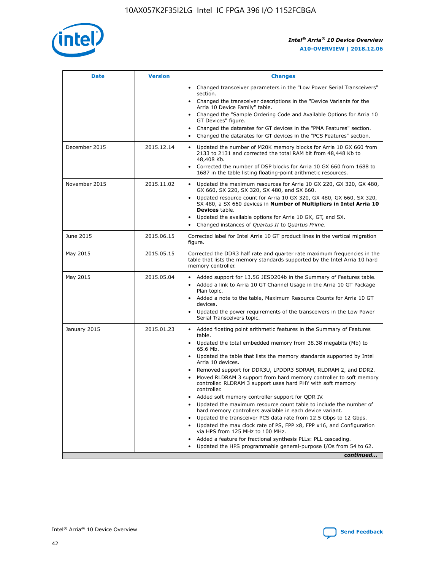

| <b>Date</b>   | <b>Version</b> | <b>Changes</b>                                                                                                                                                                   |
|---------------|----------------|----------------------------------------------------------------------------------------------------------------------------------------------------------------------------------|
|               |                | • Changed transceiver parameters in the "Low Power Serial Transceivers"<br>section.                                                                                              |
|               |                | • Changed the transceiver descriptions in the "Device Variants for the<br>Arria 10 Device Family" table.                                                                         |
|               |                | Changed the "Sample Ordering Code and Available Options for Arria 10<br>GT Devices" figure.                                                                                      |
|               |                | Changed the datarates for GT devices in the "PMA Features" section.                                                                                                              |
|               |                | Changed the datarates for GT devices in the "PCS Features" section.<br>$\bullet$                                                                                                 |
| December 2015 | 2015.12.14     | Updated the number of M20K memory blocks for Arria 10 GX 660 from<br>$\bullet$<br>2133 to 2131 and corrected the total RAM bit from 48,448 Kb to<br>48,408 Kb.                   |
|               |                | Corrected the number of DSP blocks for Arria 10 GX 660 from 1688 to<br>$\bullet$<br>1687 in the table listing floating-point arithmetic resources.                               |
| November 2015 | 2015.11.02     | Updated the maximum resources for Arria 10 GX 220, GX 320, GX 480,<br>$\bullet$<br>GX 660, SX 220, SX 320, SX 480, and SX 660.                                                   |
|               |                | Updated resource count for Arria 10 GX 320, GX 480, GX 660, SX 320,<br>$\bullet$<br>SX 480, a SX 660 devices in Number of Multipliers in Intel Arria 10<br><b>Devices</b> table. |
|               |                | Updated the available options for Arria 10 GX, GT, and SX.<br>$\bullet$                                                                                                          |
|               |                | Changed instances of Quartus II to Quartus Prime.<br>$\bullet$                                                                                                                   |
| June 2015     | 2015.06.15     | Corrected label for Intel Arria 10 GT product lines in the vertical migration<br>figure.                                                                                         |
| May 2015      | 2015.05.15     | Corrected the DDR3 half rate and quarter rate maximum frequencies in the<br>table that lists the memory standards supported by the Intel Arria 10 hard<br>memory controller.     |
| May 2015      | 2015.05.04     | • Added support for 13.5G JESD204b in the Summary of Features table.<br>• Added a link to Arria 10 GT Channel Usage in the Arria 10 GT Package<br>Plan topic.                    |
|               |                | • Added a note to the table, Maximum Resource Counts for Arria 10 GT<br>devices.                                                                                                 |
|               |                | Updated the power requirements of the transceivers in the Low Power<br>Serial Transceivers topic.                                                                                |
| January 2015  | 2015.01.23     | • Added floating point arithmetic features in the Summary of Features<br>table.                                                                                                  |
|               |                | • Updated the total embedded memory from 38.38 megabits (Mb) to<br>65.6 Mb.                                                                                                      |
|               |                | • Updated the table that lists the memory standards supported by Intel<br>Arria 10 devices.                                                                                      |
|               |                | Removed support for DDR3U, LPDDR3 SDRAM, RLDRAM 2, and DDR2.<br>Moved RLDRAM 3 support from hard memory controller to soft memory                                                |
|               |                | controller. RLDRAM 3 support uses hard PHY with soft memory<br>controller.                                                                                                       |
|               |                | Added soft memory controller support for QDR IV.                                                                                                                                 |
|               |                | Updated the maximum resource count table to include the number of<br>hard memory controllers available in each device variant.                                                   |
|               |                | Updated the transceiver PCS data rate from 12.5 Gbps to 12 Gbps.<br>$\bullet$                                                                                                    |
|               |                | Updated the max clock rate of PS, FPP x8, FPP x16, and Configuration<br>via HPS from 125 MHz to 100 MHz.                                                                         |
|               |                | Added a feature for fractional synthesis PLLs: PLL cascading.                                                                                                                    |
|               |                | Updated the HPS programmable general-purpose I/Os from 54 to 62.<br>$\bullet$                                                                                                    |
|               |                | continued                                                                                                                                                                        |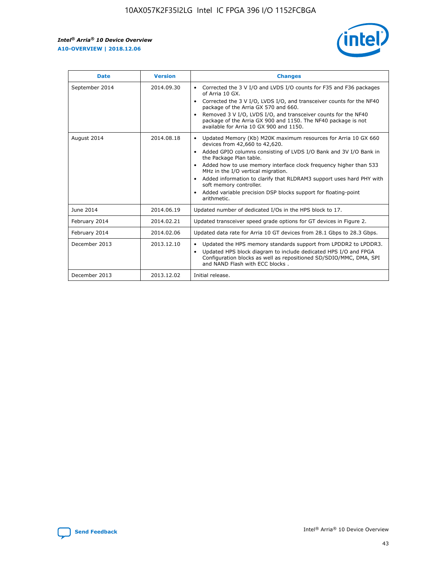

| <b>Date</b>    | <b>Version</b> | <b>Changes</b>                                                                                                                                                                                                                                                                                                                                                                                                                                                                                                                                      |
|----------------|----------------|-----------------------------------------------------------------------------------------------------------------------------------------------------------------------------------------------------------------------------------------------------------------------------------------------------------------------------------------------------------------------------------------------------------------------------------------------------------------------------------------------------------------------------------------------------|
| September 2014 | 2014.09.30     | Corrected the 3 V I/O and LVDS I/O counts for F35 and F36 packages<br>$\bullet$<br>of Arria 10 GX.<br>Corrected the 3 V I/O, LVDS I/O, and transceiver counts for the NF40<br>$\bullet$<br>package of the Arria GX 570 and 660.<br>Removed 3 V I/O, LVDS I/O, and transceiver counts for the NF40<br>$\bullet$<br>package of the Arria GX 900 and 1150. The NF40 package is not<br>available for Arria 10 GX 900 and 1150.                                                                                                                          |
| August 2014    | 2014.08.18     | Updated Memory (Kb) M20K maximum resources for Arria 10 GX 660<br>devices from 42,660 to 42,620.<br>Added GPIO columns consisting of LVDS I/O Bank and 3V I/O Bank in<br>$\bullet$<br>the Package Plan table.<br>Added how to use memory interface clock frequency higher than 533<br>$\bullet$<br>MHz in the I/O vertical migration.<br>Added information to clarify that RLDRAM3 support uses hard PHY with<br>$\bullet$<br>soft memory controller.<br>Added variable precision DSP blocks support for floating-point<br>$\bullet$<br>arithmetic. |
| June 2014      | 2014.06.19     | Updated number of dedicated I/Os in the HPS block to 17.                                                                                                                                                                                                                                                                                                                                                                                                                                                                                            |
| February 2014  | 2014.02.21     | Updated transceiver speed grade options for GT devices in Figure 2.                                                                                                                                                                                                                                                                                                                                                                                                                                                                                 |
| February 2014  | 2014.02.06     | Updated data rate for Arria 10 GT devices from 28.1 Gbps to 28.3 Gbps.                                                                                                                                                                                                                                                                                                                                                                                                                                                                              |
| December 2013  | 2013.12.10     | Updated the HPS memory standards support from LPDDR2 to LPDDR3.<br>Updated HPS block diagram to include dedicated HPS I/O and FPGA<br>$\bullet$<br>Configuration blocks as well as repositioned SD/SDIO/MMC, DMA, SPI<br>and NAND Flash with ECC blocks.                                                                                                                                                                                                                                                                                            |
| December 2013  | 2013.12.02     | Initial release.                                                                                                                                                                                                                                                                                                                                                                                                                                                                                                                                    |